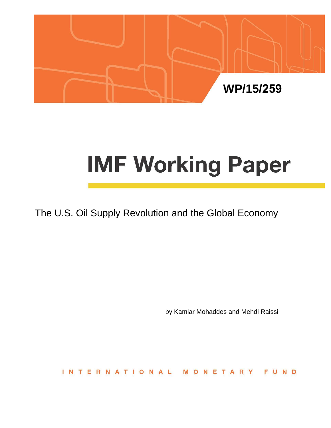

# **IMF Working Paper**

The U.S. Oil Supply Revolution and the Global Economy

by Kamiar Mohaddes and Mehdi Raissi

INT ERNATIONAL ONETARY FUND M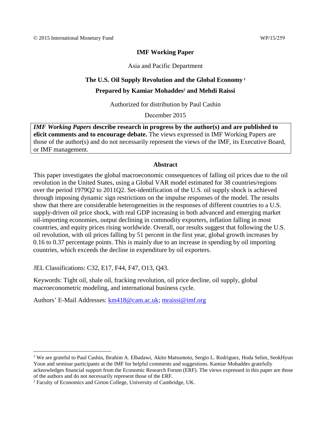# **IMF Working Paper**

## Asia and Pacific Department

# **The U.S. Oil Supply Revolution and the Global Economy <sup>1</sup> Prepared by Kamiar Mohaddes<sup>2</sup> and Mehdi Raissi**

Authorized for distribution by Paul Cashin

December 2015

*IMF Working Papers* **describe research in progress by the author(s) and are published to elicit comments and to encourage debate.** The views expressed in IMF Working Papers are those of the author(s) and do not necessarily represent the views of the IMF, its Executive Board, or IMF management.

# **Abstract**

This paper investigates the global macroeconomic consequences of falling oil prices due to the oil revolution in the United States, using a Global VAR model estimated for 38 countries/regions over the period 1979Q2 to 2011Q2. Set-identification of the U.S. oil supply shock is achieved through imposing dynamic sign restrictions on the impulse responses of the model. The results show that there are considerable heterogeneities in the responses of different countries to a U.S. supply-driven oil price shock, with real GDP increasing in both advanced and emerging market oil-importing economies, output declining in commodity exporters, inflation falling in most countries, and equity prices rising worldwide. Overall, our results suggest that following the U.S. oil revolution, with oil prices falling by 51 percent in the first year, global growth increases by 0.16 to 0.37 percentage points. This is mainly due to an increase in spending by oil importing countries, which exceeds the decline in expenditure by oil exporters.

JEL Classifications: C32, E17, F44, F47, O13, Q43.

Keywords: Tight oil, shale oil, fracking revolution, oil price decline, oil supply, global macroeconometric modeling, and international business cycle.

Authors' E-Mail Addresses: [km418@cam.ac.uk;](mailto:km418@cam.ac.uk) [mraissi@imf.org](mailto:mraissi@imf.org)

<sup>&</sup>lt;sup>1</sup> We are grateful to Paul Cashin, Ibrahim A. Elbadawi, Akito Matsumoto, Sergio L. Rodriguez, Hoda Selim, SeokHyun Yoon and seminar participants at the IMF for helpful comments and suggestions. Kamiar Mohaddes gratefully acknowledges financial support from the Economic Research Forum (ERF). The views expressed in this paper are those of the authors and do not necessarily represent those of the ERF.

<sup>2</sup> Faculty of Economics and Girton College, University of Cambridge, UK.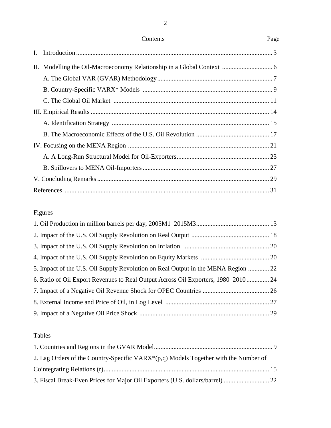| I. |  |
|----|--|
|    |  |
|    |  |
|    |  |
|    |  |
|    |  |
|    |  |
|    |  |
|    |  |
|    |  |
|    |  |
|    |  |
|    |  |

# Figures

| 5. Impact of the U.S. Oil Supply Revolution on Real Output in the MENA Region  22 |  |
|-----------------------------------------------------------------------------------|--|
| 6. Ratio of Oil Export Revenues to Real Output Across Oil Exporters, 1980–2010 24 |  |
|                                                                                   |  |
|                                                                                   |  |
|                                                                                   |  |

# Tables

| 2. Lag Orders of the Country-Specific VARX <sup>*</sup> (p,q) Models Together with the Number of |  |
|--------------------------------------------------------------------------------------------------|--|
|                                                                                                  |  |
|                                                                                                  |  |

# Contents Page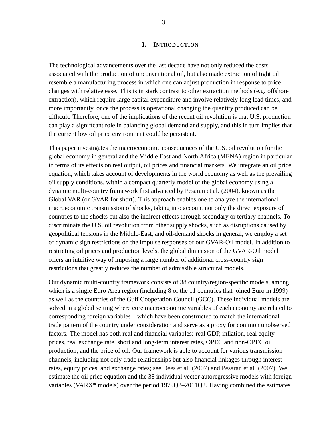## **I. INTRODUCTION**

The technological advancements over the last decade have not only reduced the costs associated with the production of unconventional oil, but also made extraction of tight oil resemble a manufacturing process in which one can adjust production in response to price changes with relative ease. This is in stark contrast to other extraction methods (e.g. offshore extraction), which require large capital expenditure and involve relatively long lead times, and more importantly, once the process is operational changing the quantity produced can be difficult. Therefore, one of the implications of the recent oil revolution is that U.S. production can play a significant role in balancing global demand and supply, and this in turn implies that the current low oil price environment could be persistent.

This paper investigates the macroeconomic consequences of the U.S. oil revolution for the global economy in general and the Middle East and North Africa (MENA) region in particular in terms of its effects on real output, oil prices and financial markets. We integrate an oil price equation, which takes account of developments in the world economy as well as the prevailing oil supply conditions, within a compact quarterly model of the global economy using a dynamic multi-country framework first advanced by [Pesaran et al. \(2004\),](#page-33-0) known as the Global VAR (or GVAR for short). This approach enables one to analyze the international macroeconomic transmission of shocks, taking into account not only the direct exposure of countries to the shocks but also the indirect effects through secondary or tertiary channels. To discriminate the U.S. oil revolution from other supply shocks, such as disruptions caused by geopolitical tensions in the Middle-East, and oil-demand shocks in general, we employ a set of dynamic sign restrictions on the impulse responses of our GVAR-Oil model. In addition to restricting oil prices and production levels, the global dimension of the GVAR-Oil model offers an intuitive way of imposing a large number of additional cross-country sign restrictions that greatly reduces the number of admissible structural models.

Our dynamic multi-country framework consists of 38 country/region-specific models, among which is a single Euro Area region (including 8 of the 11 countries that joined Euro in 1999) as well as the countries of the Gulf Cooperation Council (GCC). These individual models are solved in a global setting where core macroeconomic variables of each economy are related to corresponding foreign variables—which have been constructed to match the international trade pattern of the country under consideration and serve as a proxy for common unobserved factors. The model has both real and financial variables: real GDP, inflation, real equity prices, real exchange rate, short and long-term interest rates, OPEC and non-OPEC oil production, and the price of oil. Our framework is able to account for various transmission channels, including not only trade relationships but also financial linkages through interest rates, equity prices, and exchange rates; see [Dees et al. \(2007\)](#page-32-0) and [Pesaran et al. \(2007\).](#page-34-0) We estimate the oil price equation and the 38 individual vector autoregressive models with foreign variables (VARX\* models) over the period 1979Q2–2011Q2. Having combined the estimates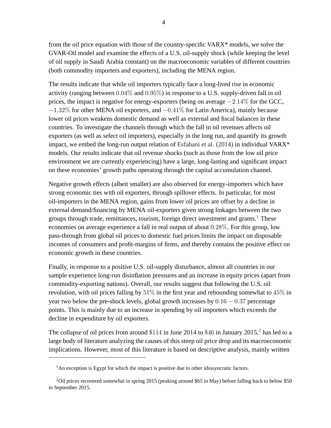from the oil price equation with those of the country-specific VARX\* models, we solve the GVAR-Oil model and examine the effects of a U.S. oil-supply shock (while keeping the level of oil supply in Saudi Arabia constant) on the macroeconomic variables of different countries (both commodity importers and exporters), including the MENA region.

The results indicate that while oil importers typically face a long-lived rise in economic activity (ranging between  $0.04\%$  and  $0.95\%$ ) in response to a U.S. supply-driven fall in oil prices, the impact is negative for energy-exporters (being on average  $-2.14\%$  for the GCC,  $-1.32\%$  for other MENA oil exporters, and  $-0.41\%$  for Latin America), mainly because lower oil prices weakens domestic demand as well as external and fiscal balances in these countries. To investigate the channels through which the fall in oil revenues affects oil exporters (as well as select oil importers), especially in the long run, and quantify its growth impact, we embed the long-run output relation of Esfahani et al.  $(2014)$  in individual VARX\* models. Our results indicate that oil revenue shocks (such as those from the low oil price environment we are currently experiencing) have a large, long-lasting and significant impact on these economies' growth paths operating through the capital accumulation channel.

Negative growth effects (albeit smaller) are also observed for energy-importers which have strong economic ties with oil exporters, through spillover effects. In particular, for most oil-importers in the MENA region, gains from lower oil prices are offset by a decline in external demand/financing by MENA oil-exporters given strong linkages between the two groups through trade, remittances, tourism, foreign direct investment and grants.<sup>[1](#page-4-0)</sup> These economies on average experience a fall in real output of about 0:28%. For this group, low pass-through from global oil prices to domestic fuel prices limits the impact on disposable incomes of consumers and profit-margins of firms, and thereby contains the positive effect on economic growth in these countries.

Finally, in response to a positive U.S. oil-supply disturbance, almost all countries in our sample experience long-run disinflation pressures and an increase in equity prices (apart from commodity-exporting nations). Overall, our results suggest that following the U.S. oil revolution, with oil prices falling by  $51\%$  in the first year and rebounding somewhat to  $45\%$  in year two below the pre-shock levels, global growth increases by  $0.16 - 0.37$  percentage points. This is mainly due to an increase in spending by oil importers which exceeds the decline in expenditure by oil exporters.

The collapse of oil prices from around  $$114$  in June [2](#page-4-1)014 to  $$46$  in January 2015,<sup>2</sup> has led to a large body of literature analyzing the causes of this steep oil price drop and its macroeconomic implications. However, most of this literature is based on descriptive analysis, mainly written

<span id="page-4-0"></span> $<sup>1</sup>$ An exception is Egypt for which the impact is positive due to other idiosyncratic factors.</sup>

<span id="page-4-1"></span><sup>&</sup>lt;sup>2</sup>Oil prices recovered somewhat in spring 2015 (peaking around \$65 in May) before falling back to below \$50 in September 2015.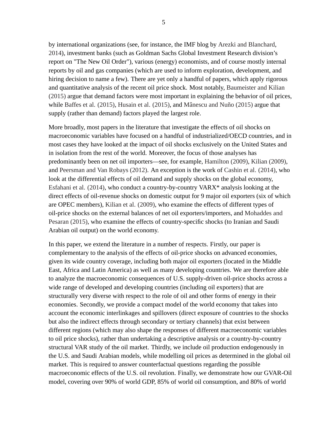by international organizations (see, for instance, the IMF blog by [Arezki and Blanchard,](#page-31-0) [2014\)](#page-31-0), investment banks (such as Goldman Sachs Global Investment Research division's report on "The New Oil Order"), various (energy) economists, and of course mostly internal reports by oil and gas companies (which are used to inform exploration, development, and hiring decision to name a few). There are yet only a handful of papers, which apply rigorous and quantitative analysis of the recent oil price shock. Most notably, [Baumeister and Kilian](#page-31-1) [\(2015\)](#page-31-1) argue that demand factors were most important in explaining the behavior of oil prices, while [Baffes et al. \(2015\),](#page-31-2) [Husain et al. \(2015\),](#page-32-2) and [Mânescu and Nuño \(2015\)](#page-33-1) argue that supply (rather than demand) factors played the largest role.

More broadly, most papers in the literature that investigate the effects of oil shocks on macroeconomic variables have focused on a handful of industrialized/OECD countries, and in most cases they have looked at the impact of oil shocks exclusively on the United States and in isolation from the rest of the world. Moreover, the focus of those analyses has predominantly been on net oil importers—see, for example, [Hamilton \(2009\),](#page-32-3) [Kilian \(2009\),](#page-32-4) and [Peersman and Van Robays \(2012\).](#page-33-2) An exception is the work of [Cashin et al. \(2014\),](#page-31-3) who look at the differential effects of oil demand and supply shocks on the global economy, [Esfahani et al. \(2014\),](#page-32-1) who conduct a country-by-country VARX\* analysis looking at the direct effects of oil-revenue shocks on domestic output for 9 major oil exporters (six of which are OPEC members), [Kilian et al. \(2009\),](#page-32-5) who examine the effects of different types of oil-price shocks on the external balances of net oil exporters/importers, and [Mohaddes and](#page-33-3) [Pesaran \(2015\),](#page-33-3) who examine the effects of country-specific shocks (to Iranian and Saudi Arabian oil output) on the world economy.

In this paper, we extend the literature in a number of respects. Firstly, our paper is complementary to the analysis of the effects of oil-price shocks on advanced economies, given its wide country coverage, including both major oil exporters (located in the Middle East, Africa and Latin America) as well as many developing countries. We are therefore able to analyze the macroeconomic consequences of U.S. supply-driven oil-price shocks across a wide range of developed and developing countries (including oil exporters) that are structurally very diverse with respect to the role of oil and other forms of energy in their economies. Secondly, we provide a compact model of the world economy that takes into account the economic interlinkages and spillovers (direct exposure of countries to the shocks but also the indirect effects through secondary or tertiary channels) that exist between different regions (which may also shape the responses of different macroeconomic variables to oil price shocks), rather than undertaking a descriptive analysis or a country-by-country structural VAR study of the oil market. Thirdly, we include oil production endogenously in the U.S. and Saudi Arabian models, while modelling oil prices as determined in the global oil market. This is required to answer counterfactual questions regarding the possible macroeconomic effects of the U.S. oil revolution. Finally, we demonstrate how our GVAR-Oil model, covering over 90% of world GDP, 85% of world oil consumption, and 80% of world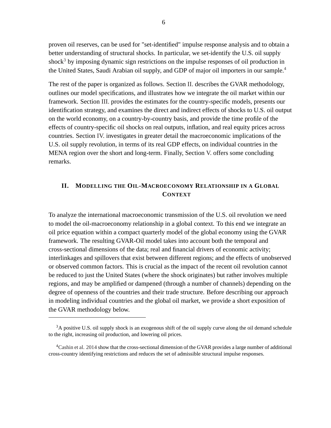proven oil reserves, can be used for "set-identified" impulse response analysis and to obtain a better understanding of structural shocks. In particular, we set-identify the U.S. oil supply shock<sup>[3](#page-6-0)</sup> by imposing dynamic sign restrictions on the impulse responses of oil production in the United States, Saudi Arabian oil supply, and GDP of major oil importers in our sample.<sup>[4](#page-6-1)</sup>

The rest of the paper is organized as follows. Section [II.](#page-6-2) describes the GVAR methodology, outlines our model specifications, and illustrates how we integrate the oil market within our framework. Section [III.](#page-14-0) provides the estimates for the country-specific models, presents our identification strategy, and examines the direct and indirect effects of shocks to U.S. oil output on the world economy, on a country-by-country basis, and provide the time profile of the effects of country-specific oil shocks on real outputs, inflation, and real equity prices across countries. Section [IV.](#page-21-0) investigates in greater detail the macroeconomic implications of the U.S. oil supply revolution, in terms of its real GDP effects, on individual countries in the MENA region over the short and long-term. Finally, Section [V.](#page-29-0) offers some concluding remarks.

# <span id="page-6-2"></span>**II. MODELLING THE OIL-MACROECONOMY RELATIONSHIP IN A GLOBAL CONTEXT**

To analyze the international macroeconomic transmission of the U.S. oil revolution we need to model the oil-macroeconomy relationship in a global context. To this end we integrate an oil price equation within a compact quarterly model of the global economy using the GVAR framework. The resulting GVAR-Oil model takes into account both the temporal and cross-sectional dimensions of the data; real and financial drivers of economic activity; interlinkages and spillovers that exist between different regions; and the effects of unobserved or observed common factors. This is crucial as the impact of the recent oil revolution cannot be reduced to just the United States (where the shock originates) but rather involves multiple regions, and may be amplified or dampened (through a number of channels) depending on the degree of openness of the countries and their trade structure. Before describing our approach in modeling individual countries and the global oil market, we provide a short exposition of the GVAR methodology below.

<span id="page-6-0"></span><sup>&</sup>lt;sup>3</sup>A positive U.S. oil supply shock is an exogenous shift of the oil supply curve along the oil demand schedule to the right, increasing oil production, and lowering oil prices.

<span id="page-6-1"></span><sup>4</sup>[Cashin et al. 2014](#page-31-3) show that the cross-sectional dimension of the GVAR provides a large number of additional cross-country identifying restrictions and reduces the set of admissible structural impulse responses.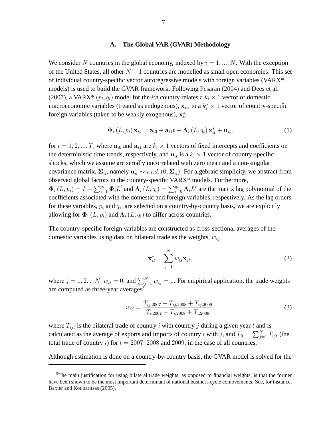#### **A. The Global VAR (GVAR) Methodology**

<span id="page-7-3"></span>We consider N countries in the global economy, indexed by  $i = 1, ..., N$ . With the exception of the United States, all other  $N-1$  countries are modelled as small open economies. This set of individual country-specific vector autoregressive models with foreign variables (VARX\* models) is used to build the GVAR framework. Following [Pesaran \(2004\)](#page-33-4) and [Dees et al.](#page-32-0) [\(2007\),](#page-32-0) a VARX\*  $(p_i, q_i)$  model for the *i*th country relates a  $k_i \times 1$  vector of domestic macroeconomic variables (treated as endogenous),  $\mathbf{x}_{it}$ , to a  $k_i^* \times 1$  vector of country-specific foreign variables (taken to be weakly exogenous),  $\mathbf{x}_{it}^*$ 

<span id="page-7-1"></span>
$$
\mathbf{\Phi}_{i}\left(L,p_{i}\right)\mathbf{x}_{it}=\mathbf{a}_{i0}+\mathbf{a}_{i1}t+\mathbf{\Lambda}_{i}\left(L,q_{i}\right)\mathbf{x}_{it}^{*}+\mathbf{u}_{it},\tag{1}
$$

for  $t = 1, 2, ..., T$ , where  $a_{i0}$  and  $a_{i1}$  are  $k_i \times 1$  vectors of fixed intercepts and coefficients on the deterministic time trends, respectively, and  $u_{it}$  is a  $k_i \times 1$  vector of country-specific shocks, which we assume are serially uncorrelated with zero mean and a non-singular covariance matrix,  $\Sigma_{ii}$ , namely  $\mathbf{u}_{it} \sim i.i.d.$   $(0, \Sigma_{ii})$ . For algebraic simplicity, we abstract from observed global factors in the country-specific VARX\* models. Furthermore,  $\Phi_i(L, p_i) = I - \sum_{i=1}^{p_i} \Phi_i L^i$  and  $\Lambda_i(L, q_i) = \sum_{i=0}^{q_i} \Lambda_i L^i$  are the matrix lag polynomial of the coefficients associated with the domestic and foreign variables, respectively. As the lag orders for these variables,  $p_i$  and  $q_i$ , are selected on a country-by-country basis, we are explicitly allowing for  $\Phi_i (L, p_i)$  and  $\Lambda_i (L, q_i)$  to differ across countries.

The country-specific foreign variables are constructed as cross-sectional averages of the domestic variables using data on bilateral trade as the weights,  $w_{ij}$ 

<span id="page-7-2"></span>
$$
\mathbf{x}_{it}^* = \sum_{j=1}^N w_{ij} \mathbf{x}_{jt},
$$
\n(2)

where  $j = 1, 2, ...N$ ,  $w_{ii} = 0$ , and  $\sum_{j=1}^{N} w_{ij} = 1$ . For empirical application, the trade weights are computed as three-year averages<sup> $\bar{s}$ </sup>

$$
w_{ij} = \frac{T_{ij,2007} + T_{ij,2008} + T_{ij,2009}}{T_{i,2007} + T_{i,2008} + T_{i,2009}},
$$
\n(3)

where  $T_{ijt}$  is the bilateral trade of country i with country j during a given year t and is calculated as the average of exports and imports of country i with j, and  $T_{it} = \sum_{j=1}^{N} T_{ijt}$  (the total trade of country i) for  $t = 2007$ , 2008 and 2009, in the case of all countries.

Although estimation is done on a country-by-country basis, the GVAR model is solved for the

<span id="page-7-0"></span> ${}^{5}$ The main justification for using bilateral trade weights, as opposed to financial weights, is that the former have been shown to be the most important determinant of national business cycle comovements. See, for instance, [Baxter and Kouparitsas \(2005\).](#page-31-4)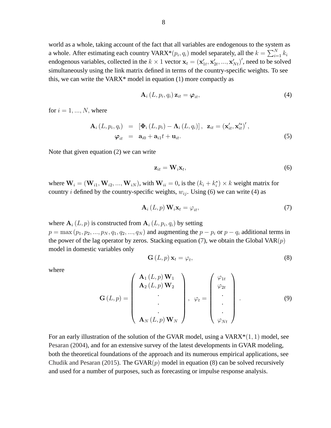world as a whole, taking account of the fact that all variables are endogenous to the system as a whole. After estimating each country VARX\* $(p_i, q_i)$  model separately, all the  $k = \sum_{i=1}^{N} k_i$ endogenous variables, collected in the  $k \times 1$  vector  $\mathbf{x}_t = (\mathbf{x}'_{1t}, \mathbf{x}'_{2t}, ..., \mathbf{x}'_{Nt})'$ , need to be solved simultaneously using the link matrix defined in terms of the country-specific weights. To see this, we can write the VARX $*$  model in equation [\(1\)](#page-7-1) more compactly as

<span id="page-8-1"></span>
$$
\mathbf{A}_{i}\left(L,p_{i},q_{i}\right)\mathbf{z}_{it}=\boldsymbol{\varphi}_{it},\tag{4}
$$

for  $i = 1, ..., N$ , where

$$
\mathbf{A}_{i}\left(L,p_{i},q_{i}\right) = \left[\mathbf{\Phi}_{i}\left(L,p_{i}\right) - \mathbf{\Lambda}_{i}\left(L,q_{i}\right)\right], \mathbf{z}_{it} = \left(\mathbf{x}'_{it},\mathbf{x}^{\prime *}_{it}\right)',
$$
\n
$$
\boldsymbol{\varphi}_{it} = \mathbf{a}_{i0} + \mathbf{a}_{i1}t + \mathbf{u}_{it}.
$$
\n(5)

Note that given equation [\(2\)](#page-7-2) we can write

<span id="page-8-0"></span>
$$
\mathbf{z}_{it} = \mathbf{W}_i \mathbf{x}_t, \tag{6}
$$

where  $\mathbf{W}_i = (\mathbf{W}_{i1}, \mathbf{W}_{i2}, ..., \mathbf{W}_{iN})$ , with  $\mathbf{W}_{ii} = 0$ , is the  $(k_i + k_i^*) \times k$  weight matrix for country *i* defined by the country-specific weights,  $w_{ij}$ . Using [\(6\)](#page-8-0) we can write [\(4\)](#page-8-1) as

<span id="page-8-2"></span>
$$
\mathbf{A}_{i}\left(L,p\right)\mathbf{W}_{i}\mathbf{x}_{t}=\varphi_{it},\tag{7}
$$

where  $\mathbf{A}_i$   $(L, p)$  is constructed from  $\mathbf{A}_i$   $(L, p_i, q_i)$  by setting  $p = \max (p_1, p_2, ..., p_N, q_1, q_2, ..., q_N)$  and augmenting the  $p - p_i$  or  $p - q_i$  additional terms in the power of the lag operator by zeros. Stacking equation [\(7\)](#page-8-2), we obtain the Global VAR $(p)$ model in domestic variables only

<span id="page-8-3"></span>
$$
\mathbf{G}\left(L,p\right)\mathbf{x}_{t}=\varphi_{t},\tag{8}
$$

where

$$
\mathbf{G}\left(L,p\right) = \begin{pmatrix} \mathbf{A}_1\left(L,p\right)\mathbf{W}_1 \\ \mathbf{A}_2\left(L,p\right)\mathbf{W}_2 \\ \vdots \\ \mathbf{A}_N\left(L,p\right)\mathbf{W}_N \end{pmatrix}, \quad \varphi_t = \begin{pmatrix} \varphi_{1t} \\ \varphi_{2t} \\ \vdots \\ \varphi_{Nt} \end{pmatrix} . \tag{9}
$$

For an early illustration of the solution of the GVAR model, using a  $VARX*(1, 1)$  model, see [Pesaran \(2004\),](#page-33-4) and for an extensive survey of the latest developments in GVAR modeling, both the theoretical foundations of the approach and its numerous empirical applications, see [Chudik and Pesaran \(2015\).](#page-32-6) The GVAR $(p)$  model in equation [\(8\)](#page-8-3) can be solved recursively and used for a number of purposes, such as forecasting or impulse response analysis.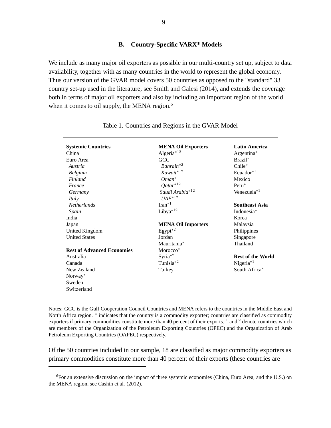## **B. Country-Specific VARX\* Models**

We include as many major oil exporters as possible in our multi-country set up, subject to data availability, together with as many countries in the world to represent the global economy. Thus our version of the GVAR model covers 50 countries as opposed to the "standard" 33 country set-up used in the literature, see [Smith and Galesi \(2014\),](#page-34-1) and extends the coverage both in terms of major oil exporters and also by including an important region of the world when it comes to oil supply, the MENA region.<sup>[6](#page-9-0)</sup>

<span id="page-9-1"></span>

| <b>Systemic Countries</b>         | <b>MENA Oil Exporters</b>   | <b>Latin America</b>     |
|-----------------------------------|-----------------------------|--------------------------|
| China                             | Algeria $*$ <sup>12</sup>   | Argentina*               |
| Euro Area                         | GCC                         | Brazil <sup>*</sup>      |
| Austria                           | $Bahrain*2$                 | $Chile^*$                |
| Belgium                           | $Kuwait*12}$                | Ecuador $*1$             |
| Finland                           | $Oman^*$                    | Mexico                   |
| France                            | $Qatar^{*12}$               | Peru*                    |
| Germany                           | Saudi Arabia* <sup>12</sup> | Venezuela $*1$           |
| Italy                             | $U\!AE^{*12}$               |                          |
| <b>Netherlands</b>                | $\text{Iran}^{*1}$          | <b>Southeast Asia</b>    |
| Spain                             | Libya $*12$                 | Indonesia <sup>*</sup>   |
| India                             |                             | Korea                    |
| Japan                             | <b>MENA Oil Importers</b>   | Malaysia                 |
| <b>United Kingdom</b>             | $E$ gypt <sup>*2</sup>      | Philippines              |
| <b>United States</b>              | Jordan                      | Singapore                |
|                                   | Mauritania*                 | Thailand                 |
| <b>Rest of Advanced Economies</b> | Morocco*                    |                          |
| Australia                         | Syria <sup>*2</sup>         | <b>Rest of the World</b> |
| Canada                            | Tunisia <sup>*2</sup>       | Nigeria $*$ <sup>1</sup> |
| New Zealand                       | Turkey                      | South Africa*            |
| Norway <sup>*</sup>               |                             |                          |
| Sweden                            |                             |                          |
| Switzerland                       |                             |                          |

#### Table 1. Countries and Regions in the GVAR Model

Notes: GCC is the Gulf Cooperation Council Countries and MENA refers to the countries in the Middle East and North Africa region. \* indicates that the country is a commodity exporter; countries are classified as commodity exporters if primary commodities constitute more than 40 percent of their exports.  $1$  and  $2$  denote countries which are members of the Organization of the Petroleum Exporting Countries (OPEC) and the Organization of Arab Petroleum Exporting Countries (OAPEC) respectively.

Of the 50 countries included in our sample, 18 are classified as major commodity exporters as primary commodities constitute more than 40 percent of their exports (these countries are

<span id="page-9-0"></span><sup>6</sup>For an extensive discussion on the impact of three systemic economies (China, Euro Area, and the U.S.) on the MENA region, see [Cashin et al. \(2012\).](#page-31-5)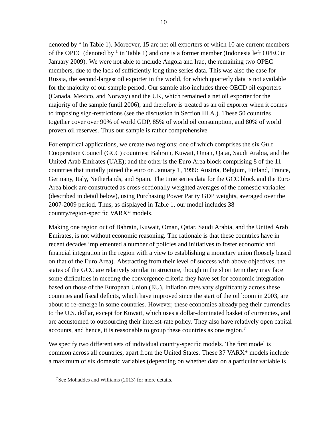denoted by  $*$  in Table [1\)](#page-9-1). Moreover, 15 are net oil exporters of which 10 are current members of the OPEC (denoted by  $<sup>1</sup>$  in Table [1\)](#page-9-1) and one is a former member (Indonesia left OPEC in</sup> January 2009). We were not able to include Angola and Iraq, the remaining two OPEC members, due to the lack of sufficiently long time series data. This was also the case for Russia, the second-largest oil exporter in the world, for which quarterly data is not available for the majority of our sample period. Our sample also includes three OECD oil exporters (Canada, Mexico, and Norway) and the UK, which remained a net oil exporter for the majority of the sample (until 2006), and therefore is treated as an oil exporter when it comes to imposing sign-restrictions (see the discussion in Section III[.A.\)](#page-15-0). These 50 countries together cover over 90% of world GDP, 85% of world oil consumption, and 80% of world proven oil reserves. Thus our sample is rather comprehensive.

For empirical applications, we create two regions; one of which comprises the six Gulf Cooperation Council (GCC) countries: Bahrain, Kuwait, Oman, Qatar, Saudi Arabia, and the United Arab Emirates (UAE); and the other is the Euro Area block comprising 8 of the 11 countries that initially joined the euro on January 1, 1999: Austria, Belgium, Finland, France, Germany, Italy, Netherlands, and Spain. The time series data for the GCC block and the Euro Area block are constructed as cross-sectionally weighted averages of the domestic variables (described in detail below), using Purchasing Power Parity GDP weights, averaged over the 2007-2009 period. Thus, as displayed in Table [1,](#page-9-1) our model includes 38 country/region-specific VARX\* models.

Making one region out of Bahrain, Kuwait, Oman, Qatar, Saudi Arabia, and the United Arab Emirates, is not without economic reasoning. The rationale is that these countries have in recent decades implemented a number of policies and initiatives to foster economic and financial integration in the region with a view to establishing a monetary union (loosely based on that of the Euro Area). Abstracting from their level of success with above objectives, the states of the GCC are relatively similar in structure, though in the short term they may face some difficulties in meeting the convergence criteria they have set for economic integration based on those of the European Union (EU). Inflation rates vary significantly across these countries and fiscal deficits, which have improved since the start of the oil boom in 2003, are about to re-emerge in some countries. However, these economies already peg their currencies to the U.S. dollar, except for Kuwait, which uses a dollar-dominated basket of currencies, and are accustomed to outsourcing their interest-rate policy. They also have relatively open capital accounts, and hence, it is reasonable to group these countries as one region.<sup>[7](#page-10-0)</sup>

We specify two different sets of individual country-specific models. The first model is common across all countries, apart from the United States. These 37 VARX\* models include a maximum of six domestic variables (depending on whether data on a particular variable is

<span id="page-10-0"></span> $7$ See [Mohaddes and Williams \(2013\)](#page-33-5) for more details.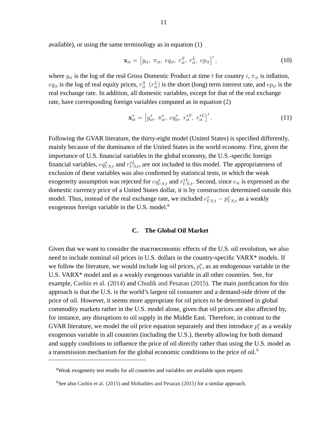available), or using the same terminology as in equation [\(1\)](#page-7-1)

$$
\mathbf{x}_{it} = \begin{bmatrix} y_{it}, \ \pi_{it}, \ eq_{it}, \ r_{it}^S, \ r_{it}^L, \ eq_{it} \end{bmatrix}',\tag{10}
$$

where  $y_{it}$  is the log of the real Gross Domestic Product at time t for country i,  $\pi_{it}$  is inflation,  $eq_{it}$  is the log of real equity prices,  $r_{it}^S$  ( $r_{it}^L$ ) is the short (long) term interest rate, and  $ep_{it}$  is the real exchange rate. In addition, all domestic variables, except for that of the real exchange rate, have corresponding foreign variables computed as in equation [\(2\)](#page-7-2)

$$
\mathbf{x}_{it}^* = \left[ y_{it}^*, \ \pi_{it}^*, \ eq_{it}^*, \ r_{it}^{*S}, \ r_{it}^{*L} \right]'.
$$
 (11)

Following the GVAR literature, the thirty-eight model (United States) is specified differently, mainly because of the dominance of the United States in the world economy. First, given the importance of U.S. financial variables in the global economy, the U.S.-specific foreign financial variables,  $eq_{US,t}^*$  and  $r_{US,t}^{*L}$ , are not included in this model. The appropriateness of exclusion of these variables was also confirmed by statistical tests, in which the weak exogeneity assumption was rejected for  $eq_{US,t}^*$  and  $r_{US,t}^{*L}$ . Second, since  $e_{it}$  is expressed as the domestic currency price of a United States dollar, it is by construction determined outside this model. Thus, instead of the real exchange rate, we included  $e_{US,t}^* - p_{US,t}^*$  as a weakly exogenous foreign variable in the U.S. model. $8$ 

## **C. The Global Oil Market**

Given that we want to consider the macroeconomic effects of the U.S. oil revolution, we also need to include nominal oil prices in U.S. dollars in the country-specific VARX\* models. If we follow the literature, we would include log oil prices,  $p_t^o$ , as an endogenous variable in the U.S. VARX\* model and as a weakly exogenous variable in all other countries. See, for example, [Cashin et al. \(2014\)](#page-31-3) and [Chudik and Pesaran \(2015\).](#page-32-6) The main justification for this approach is that the U.S. is the world's largest oil consumer and a demand-side driver of the price of oil. However, it seems more appropriate for oil prices to be determined in global commodity markets rather in the U.S. model alone, given that oil prices are also affected by, for instance, any disruptions to oil supply in the Middle East. Therefore, in contrast to the GVAR literature, we model the oil price equation separately and then introduce  $p_t^o$  as a weakly exogenous variable in all countries (including the U.S.), thereby allowing for both demand and supply conditions to influence the price of oil directly rather than using the U.S. model as a transmission mechanism for the global economic conditions to the price of oil.<sup>[9](#page-11-1)</sup>

<span id="page-11-0"></span><sup>&</sup>lt;sup>8</sup>Weak exogeneity test results for all countries and variables are available upon request.

<span id="page-11-1"></span><sup>&</sup>lt;sup>9</sup>See also [Cashin et al. \(2015\)](#page-31-6) and [Mohaddes and Pesaran \(2015\)](#page-33-3) for a similar approach.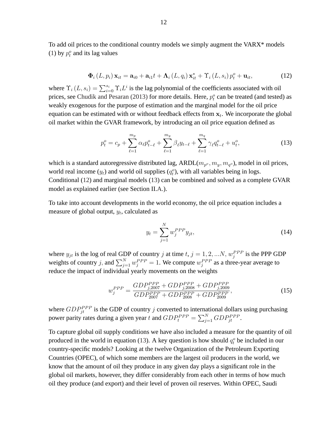To add oil prices to the conditional country models we simply augment the VARX\* models [\(1\)](#page-7-1) by  $p_t^o$  and its lag values

<span id="page-12-0"></span>
$$
\mathbf{\Phi}_{i}\left(L,p_{i}\right)\mathbf{x}_{it}=\mathbf{a}_{i0}+\mathbf{a}_{i1}t+\mathbf{\Lambda}_{i}\left(L,q_{i}\right)\mathbf{x}_{it}^{*}+\Upsilon_{i}\left(L,s_{i}\right)p_{t}^{o}+\mathbf{u}_{it},\tag{12}
$$

where  $\Upsilon_i (L, s_i) = \sum_{i=0}^{s_i} \Upsilon_i L^i$  is the lag polynomial of the coefficients associated with oil prices, see [Chudik and Pesaran \(2013\)](#page-31-7) for more details. Here,  $p_t^o$  can be treated (and tested) as weakly exogenous for the purpose of estimation and the marginal model for the oil price equation can be estimated with or without feedback effects from  $x_t$ . We incorporate the global oil market within the GVAR framework, by introducing an oil price equation defined as

<span id="page-12-1"></span>
$$
p_t^o = c_p + \sum_{\ell=1}^{m_p} \alpha_\ell p_{t-\ell}^o + \sum_{\ell=1}^{m_y} \beta_\ell y_{t-\ell} + \sum_{\ell=1}^{m_q} \gamma_\ell q_{t-\ell}^o + u_t^o,
$$
 (13)

which is a standard autoregressive distributed lag, ARDL $(m_{p^o}, m_y, m_{q^o})$ , model in oil prices, world real income  $(y_t)$  and world oil supplies  $(q_t^o)$ , with all variables being in logs. Conditional [\(12\)](#page-12-0) and marginal models [\(13\)](#page-12-1) can be combined and solved as a complete GVAR model as explained earlier (see Section II[.A.\)](#page-7-3).

To take into account developments in the world economy, the oil price equation includes a measure of global output,  $y_t$ , calculated as

$$
y_t = \sum_{j=1}^{N} w_j^{PPP} y_{jt},
$$
\n(14)

where  $y_{jt}$  is the log of real GDP of country j at time t,  $j = 1, 2, ...N, w_j^{PPP}$  is the PPP GDP weights of country j, and  $\sum_{j=1}^{N} w_j^{PPP} = 1$ . We compute  $w_j^{PPP}$  as a three-year average to reduce the impact of individual yearly movements on the weights

$$
w_j^{PPP} = \frac{GDP_{j,2007}^{PPP} + GDP_{j,2008}^{PPP} + GDP_{j,2009}^{PPP}}{GDP_{2007}^{PPP} + GDP_{2008}^{PPP} + GDP_{2009}^{PPP}},
$$
\n(15)

where  $GDP_{jt}^{PPP}$  is the GDP of country j converted to international dollars using purchasing power parity rates during a given year t and  $GDP_t^{PPP} = \sum_{j=1}^{N} GDP_{jt}^{PPP}$ .

To capture global oil supply conditions we have also included a measure for the quantity of oil produced in the world in equation [\(13\)](#page-12-1). A key question is how should  $q_t^o$  be included in our country-specific models? Looking at the twelve Organization of the Petroleum Exporting Countries (OPEC), of which some members are the largest oil producers in the world, we know that the amount of oil they produce in any given day plays a significant role in the global oil markets, however, they differ considerably from each other in terms of how much oil they produce (and export) and their level of proven oil reserves. Within OPEC, Saudi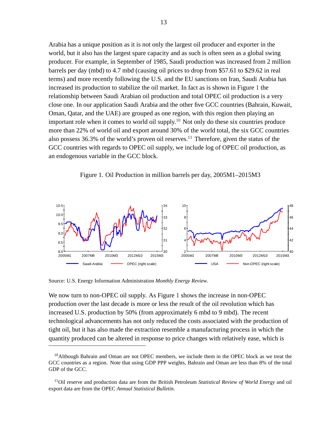Arabia has a unique position as it is not only the largest oil producer and exporter in the world, but it also has the largest spare capacity and as such is often seen as a global swing producer. For example, in September of 1985, Saudi production was increased from 2 million barrels per day (mbd) to 4.7 mbd (causing oil prices to drop from \$57.61 to \$29.62 in real terms) and more recently following the U.S. and the EU sanctions on Iran, Saudi Arabia has increased its production to stabilize the oil market. In fact as is shown in Figure [1](#page-13-0) the relationship between Saudi Arabian oil production and total OPEC oil production is a very close one. In our application Saudi Arabia and the other five GCC countries (Bahrain, Kuwait, Oman, Qatar, and the UAE) are grouped as one region, with this region then playing an important role when it comes to world oil supply.<sup>[10](#page-13-1)</sup> Not only do these six countries produce more than 22% of world oil and export around 30% of the world total, the six GCC countries also possess 36.3% of the world's proven oil reserves.<sup>[11](#page-13-2)</sup> Therefore, given the status of the GCC countries with regards to OPEC oil supply, we include log of OPEC oil production, as an endogenous variable in the GCC block.

<span id="page-13-0"></span>



Source: U.S. Energy Information Administration *Monthly Energy Review*.

We now turn to non-OPEC oil supply. As Figure [1](#page-13-0) shows the increase in non-OPEC production over the last decade is more or less the result of the oil revolution which has increased U.S. production by 50% (from approximately 6 mbd to 9 mbd). The recent technological advancements has not only reduced the costs associated with the production of tight oil, but it has also made the extraction resemble a manufacturing process in which the quantity produced can be altered in response to price changes with relatively ease, which is

<span id="page-13-1"></span> $10$ Although Bahrain and Oman are not OPEC members, we include them in the OPEC block as we treat the GCC countries as a region. Note that using GDP PPP weights, Bahrain and Oman are less than 8% of the total GDP of the GCC.

<span id="page-13-2"></span><sup>11</sup>Oil reserve and production data are from the British Petroleum *Statistical Review of World Energy* and oil export data are from the OPEC *Annual Statistical Bulletin*.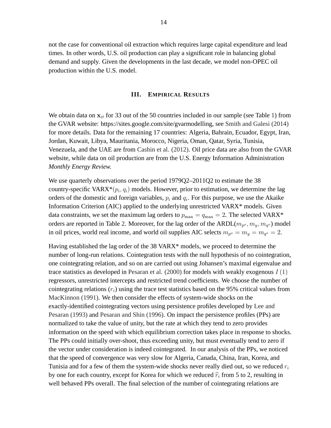not the case for conventional oil extraction which requires large capital expenditure and lead times. In other words, U.S. oil production can play a significant role in balancing global demand and supply. Given the developments in the last decade, we model non-OPEC oil production within the U.S. model.

#### **III. EMPIRICAL RESULTS**

<span id="page-14-0"></span>We obtain data on  $x_{it}$  for 33 out of the 50 countries included in our sample (see Table [1\)](#page-9-1) from the GVAR website: https://sites.google.com/site/gvarmodelling, see [Smith and Galesi \(2014\)](#page-34-1) for more details. Data for the remaining 17 countries: Algeria, Bahrain, Ecuador, Egypt, Iran, Jordan, Kuwait, Libya, Mauritania, Morocco, Nigeria, Oman, Qatar, Syria, Tunisia, Venezuela, and the UAE are from [Cashin et al. \(2012\).](#page-31-5) Oil price data are also from the GVAR website, while data on oil production are from the U.S. Energy Information Administration *Monthly Energy Review.*

We use quarterly observations over the period 1979Q2–2011Q2 to estimate the 38 country-specific VARX\* $(p_i, q_i)$  models. However, prior to estimation, we determine the lag orders of the domestic and foreign variables,  $p_i$  and  $q_i$ . For this purpose, we use the Akaike Information Criterion (AIC) applied to the underlying unrestricted VARX\* models. Given data constraints, we set the maximum lag orders to  $p_{\text{max}} = q_{\text{max}} = 2$ . The selected VARX\* orders are reported in Table [2.](#page-15-1) Moreover, for the lag order of the ARDL $(m_{p^o}, m_y, m_{q^o})$  model in oil prices, world real income, and world oil supplies AIC selects  $m_{p^o} = m_y = m_{q^o} = 2$ .

Having established the lag order of the 38 VARX\* models, we proceed to determine the number of long-run relations. Cointegration tests with the null hypothesis of no cointegration, one cointegrating relation, and so on are carried out using Johansen's maximal eigenvalue and trace statistics as developed in [Pesaran et al. \(2000\)](#page-33-6) for models with weakly exogenous  $I(1)$ regressors, unrestricted intercepts and restricted trend coefficients. We choose the number of cointegrating relations  $(r_i)$  using the trace test statistics based on the 95% critical values from [MacKinnon \(1991\).](#page-33-7) We then consider the effects of system-wide shocks on the exactly-identified cointegrating vectors using persistence profiles developed by [Lee and](#page-33-8) [Pesaran \(1993\)](#page-33-8) and [Pesaran and Shin \(1996\).](#page-33-9) On impact the persistence profiles (PPs) are normalized to take the value of unity, but the rate at which they tend to zero provides information on the speed with which equilibrium correction takes place in response to shocks. The PPs could initially over-shoot, thus exceeding unity, but must eventually tend to zero if the vector under consideration is indeed cointegrated. In our analysis of the PPs, we noticed that the speed of convergence was very slow for Algeria, Canada, China, Iran, Korea, and Tunisia and for a few of them the system-wide shocks never really died out, so we reduced  $r_i$ by one for each country, except for Korea for which we reduced  $\hat{r}_i$  from 5 to 2, resulting in well behaved PPs overall. The final selection of the number of cointegrating relations are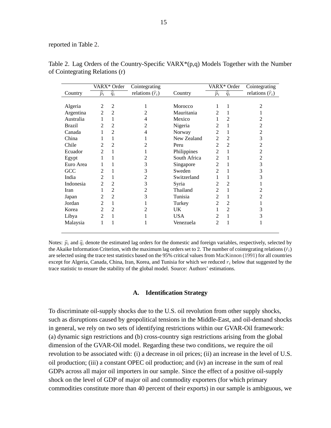<span id="page-15-1"></span>reported in Table [2.](#page-15-1)

|               | VARX* Order     |                 | Cointegrating           |              | VARX* Order                 |                 | Cointegrating               |
|---------------|-----------------|-----------------|-------------------------|--------------|-----------------------------|-----------------|-----------------------------|
| Country       | $\widehat{p}_i$ | $\widehat{q}_i$ | relations $(\hat{r}_i)$ | Country      | $\widehat{p}_i$             | $\widehat{q}_i$ | relations $(\widehat{r}_i)$ |
|               |                 |                 |                         |              |                             |                 |                             |
| Algeria       | 2               | 2               | 1                       | Morocco      | 1                           | 1               | 2                           |
| Argentina     | $\overline{2}$  | $\overline{2}$  | 2                       | Mauritania   | $\mathcal{D}_{\mathcal{L}}$ | 1               | 1                           |
| Australia     |                 |                 | 4                       | Mexico       |                             | $\overline{2}$  | 2                           |
| <b>Brazil</b> | 2               | 2               | 2                       | Nigeria      | $\overline{2}$              |                 | $\overline{2}$              |
| Canada        | 1               | $\mathfrak{D}$  | 4                       | Norway       | $\mathfrak{D}$              |                 | 2                           |
| China         |                 | 1               | 1                       | New Zealand  | $\overline{2}$              | $\overline{2}$  | 3                           |
| Chile         | $\mathfrak{D}$  | 2               | 2                       | Peru         | $\overline{2}$              | $\overline{2}$  | $\overline{2}$              |
| Ecuador       | 2               | 1               | 1                       | Philippines  | $\overline{2}$              | 1               | 2                           |
| Egypt         |                 |                 | 2                       | South Africa | $\overline{2}$              |                 | $\overline{2}$              |
| Euro Area     |                 |                 | 3                       | Singapore    | $\overline{2}$              |                 | 3                           |
| GCC           | $\mathfrak{D}$  |                 | 3                       | Sweden       | $\mathfrak{D}$              | 1               | 3                           |
| India         | $\overline{c}$  | 1               | 2                       | Switzerland  |                             |                 | 3                           |
| Indonesia     | $\mathfrak{D}$  | $\mathfrak{D}$  | 3                       | Syria        | $\mathfrak{D}$              | 2               |                             |
| Iran          |                 | $\overline{c}$  | 2                       | Thailand     | $\overline{2}$              | 1               | 2                           |
| Japan         | 2               | $\overline{2}$  | 3                       | Tunisia      | $\mathfrak{D}$              | 1               | $\overline{c}$              |
| Jordan        | 2               |                 | 1                       | Turkey       | $\overline{2}$              | $\overline{2}$  | 1                           |
| Korea         | $\overline{c}$  | $\overline{2}$  | 2                       | <b>UK</b>    |                             | $\overline{2}$  | 3                           |
| Libya         | $\overline{c}$  | 1               |                         | <b>USA</b>   | 2                           | 1               | 3                           |
| Malaysia      | 1               |                 |                         | Venezuela    | $\overline{2}$              |                 | 1                           |
|               |                 |                 |                         |              |                             |                 |                             |

Table 2. Lag Orders of the Country-Specific VARX\*(p,q) Models Together with the Number of Cointegrating Relations (r)

Notes:  $\hat{p}_i$  and  $\hat{q}_i$  denote the estimated lag orders for the domestic and foreign variables, respectively, selected by the Akaike Information Criterion, with the maximum lag orders set to 2. The number of cointegrating relations  $(\hat{r}_i)$ are selected using the trace test statistics based on the 95% critical values from [MacKinnon \(1991\)](#page-33-7) for all countries except for Algeria, Canada, China, Iran, Korea, and Tunisia for which we reduced  $r_i$  below that suggested by the trace statistic to ensure the stability of the global model. Source: Authors' estimations.

#### **A. Identification Strategy**

<span id="page-15-0"></span>To discriminate oil-supply shocks due to the U.S. oil revolution from other supply shocks, such as disruptions caused by geopolitical tensions in the Middle-East, and oil-demand shocks in general, we rely on two sets of identifying restrictions within our GVAR-Oil framework: (a) dynamic sign restrictions and (b) cross-country sign restrictions arising from the global dimension of the GVAR-Oil model. Regarding these two conditions, we require the oil revolution to be associated with: (i) a decrease in oil prices; (ii) an increase in the level of U.S. oil production; (iii) a constant OPEC oil production; and (iv) an increase in the sum of real GDPs across all major oil importers in our sample. Since the effect of a positive oil-supply shock on the level of GDP of major oil and commodity exporters (for which primary commodities constitute more than 40 percent of their exports) in our sample is ambiguous, we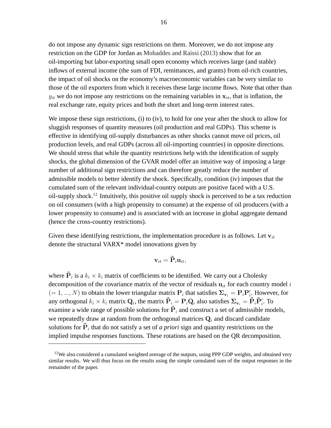do not impose any dynamic sign restrictions on them. Moreover, we do not impose any restriction on the GDP for Jordan as [Mohaddes and Raissi \(2013\)](#page-33-10) show that for an oil-importing but labor-exporting small open economy which receives large (and stable) inflows of external income (the sum of FDI, remittances, and grants) from oil-rich countries, the impact of oil shocks on the economy's macroeconomic variables can be very similar to those of the oil exporters from which it receives these large income flows. Note that other than  $y_{it}$  we do not impose any restrictions on the remaining variables in  $x_{it}$ , that is inflation, the real exchange rate, equity prices and both the short and long-term interest rates.

We impose these sign restrictions, (i) to (iv), to hold for one year after the shock to allow for sluggish responses of quantity measures (oil production and real GDPs). This scheme is effective in identifying oil-supply disturbances as other shocks cannot move oil prices, oil production levels, and real GDPs (across all oil-importing countries) in opposite directions. We should stress that while the quantity restrictions help with the identification of supply shocks, the global dimension of the GVAR model offer an intuitive way of imposing a large number of additional sign restrictions and can therefore greatly reduce the number of admissible models to better identify the shock. Specifically, condition (iv) imposes that the cumulated sum of the relevant individual-country outputs are positive faced with a U.S. oil-supply shock.<sup>[12](#page-16-0)</sup> Intuitively, this positive oil supply shock is perceived to be a tax reduction on oil consumers (with a high propensity to consume) at the expense of oil producers (with a lower propensity to consume) and is associated with an increase in global aggregate demand (hence the cross-country restrictions).

Given these identifying restrictions, the implementation procedure is as follows. Let  $v_{it}$ denote the structural VARX\* model innovations given by

$$
\mathbf{v}_{it} = \mathbf{\tilde{P}}_{i} \mathbf{u}_{it},
$$

where  $\tilde{\mathbf{P}}_i$  is a  $k_i \times k_i$  matrix of coefficients to be identified. We carry out a Cholesky decomposition of the covariance matrix of the vector of residuals  $u_{it}$  for each country model i  $(= 1, ..., N)$  to obtain the lower triangular matrix  $P_i$  that satisfies  $\Sigma_{v_i} = P_i P'_i$ . However, for any orthogonal  $k_i\times k_i$  matrix  $\mathbf{Q}_i$ , the matrix  $\mathbf{\tilde{P}}_i=\mathbf{P}_i\mathbf{Q}_i$  also satisfies  $\mathbf{\Sigma}_{\mathbf{v}_i}=\mathbf{\tilde{P}}_i\mathbf{\tilde{P}}'_i$ . To examine a wide range of possible solutions for  $\tilde{P}_i$  and construct a set of admissible models, we repeatedly draw at random from the orthogonal matrices  $Q_i$  and discard candidate solutions for  $\tilde{P}_i$  that do not satisfy a set of *a priori* sign and quantity restrictions on the implied impulse responses functions. These rotations are based on the QR decomposition.

<span id="page-16-0"></span><sup>&</sup>lt;sup>12</sup>We also considered a cumulated weighted average of the outputs, using PPP GDP weights, and obtained very similar results. We will thus focus on the results using the simple cumulated sum of the output responses in the remainder of the paper.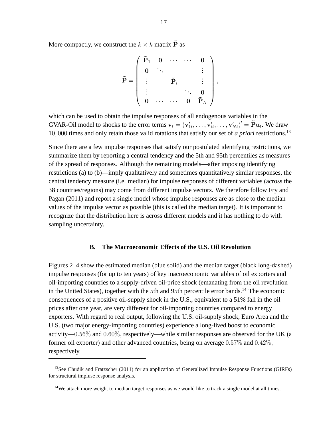More compactly, we construct the  $k \times k$  matrix  $\tilde{\mathbf{P}}$  as

$$
\tilde{\mathbf{P}} = \left(\begin{array}{cccc} \tilde{\mathbf{P}}_1 & \mathbf{0} & \cdots & \cdots & \mathbf{0} \\ \mathbf{0} & \ddots & & & \vdots \\ \vdots & & \tilde{\mathbf{P}}_i & & \vdots \\ \vdots & & & \ddots & \mathbf{0} \\ \mathbf{0} & \cdots & \cdots & \mathbf{0} & \tilde{\mathbf{P}}_N \end{array}\right)
$$

;

which can be used to obtain the impulse responses of all endogenous variables in the GVAR-Oil model to shocks to the error terms  $\mathbf{v}_t = (\mathbf{v}'_{1t}, \dots, \mathbf{v}'_{it}, \dots, \mathbf{v}'_{Nt})' = \mathbf{\tilde{P}} \mathbf{u}_t$ . We draw 10; 000 times and only retain those valid rotations that satisfy our set of *a priori* restrictions.[13](#page-17-0)

Since there are a few impulse responses that satisfy our postulated identifying restrictions, we summarize them by reporting a central tendency and the 5th and 95th percentiles as measures of the spread of responses. Although the remaining models—after imposing identifying restrictions (a) to (b)—imply qualitatively and sometimes quantitatively similar responses, the central tendency measure (i.e. median) for impulse responses of different variables (across the 38 countries/regions) may come from different impulse vectors. We therefore follow [Fry and](#page-32-7) [Pagan \(2011\)](#page-32-7) and report a single model whose impulse responses are as close to the median values of the impulse vector as possible (this is called the median target). It is important to recognize that the distribution here is across different models and it has nothing to do with sampling uncertainty.

#### **B. The Macroeconomic Effects of the U.S. Oil Revolution**

<span id="page-17-2"></span>Figures [2–](#page-18-0)[4](#page-20-0) show the estimated median (blue solid) and the median target (black long-dashed) impulse responses (for up to ten years) of key macroeconomic variables of oil exporters and oil-importing countries to a supply-driven oil-price shock (emanating from the oil revolution in the United States), together with the 5th and 95th percentile error bands.<sup>[14](#page-17-1)</sup> The economic consequences of a positive oil-supply shock in the U.S., equivalent to a 51% fall in the oil prices after one year, are very different for oil-importing countries compared to energy exporters. With regard to real output, following the U.S. oil-supply shock, Euro Area and the U.S. (two major energy-importing countries) experience a long-lived boost to economic activity—0:56% and 0:60%; respectively—while similar responses are observed for the UK (a former oil exporter) and other advanced countries, being on average  $0.57\%$  and  $0.42\%$ . respectively.

<span id="page-17-0"></span><sup>&</sup>lt;sup>13</sup>See [Chudik and Fratzscher \(2011\)](#page-31-8) for an application of Generalized Impulse Response Functions (GIRFs) for structural impluse response analysis.

<span id="page-17-1"></span><sup>&</sup>lt;sup>14</sup>We attach more weight to median target responses as we would like to track a single model at all times.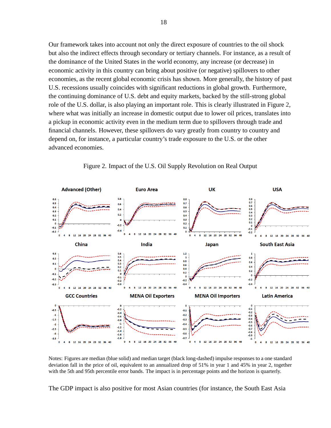Our framework takes into account not only the direct exposure of countries to the oil shock but also the indirect effects through secondary or tertiary channels. For instance, as a result of the dominance of the United States in the world economy, any increase (or decrease) in economic activity in this country can bring about positive (or negative) spillovers to other economies, as the recent global economic crisis has shown. More generally, the history of past U.S. recessions usually coincides with significant reductions in global growth. Furthermore, the continuing dominance of U.S. debt and equity markets, backed by the still-strong global role of the U.S. dollar, is also playing an important role. This is clearly illustrated in Figure [2,](#page-18-0) where what was initially an increase in domestic output due to lower oil prices, translates into a pickup in economic activity even in the medium term due to spillovers through trade and financial channels. However, these spillovers do vary greatly from country to country and depend on, for instance, a particular country's trade exposure to the U.S. or the other advanced economies.

<span id="page-18-0"></span>

Figure 2. Impact of the U.S. Oil Supply Revolution on Real Output

Notes: Figures are median (blue solid) and median target (black long-dashed) impulse responses to a one standard deviation fall in the price of oil, equivalent to an annualized drop of 51% in year 1 and 45% in year 2, together with the 5th and 95th percentile error bands. The impact is in percentage points and the horizon is quarterly.

The GDP impact is also positive for most Asian countries (for instance, the South East Asia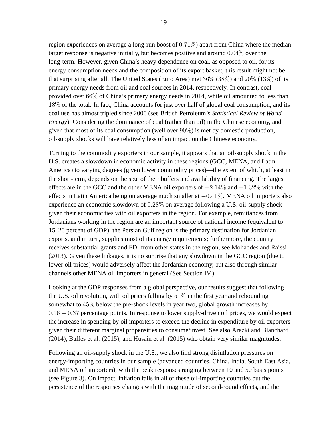19

region experiences on average a long-run boost of  $0.71\%$ ) apart from China where the median target response is negative initially, but becomes positive and around 0:04% over the long-term. However, given China's heavy dependence on coal, as opposed to oil, for its energy consumption needs and the composition of its export basket, this result might not be that surprising after all. The United States (Euro Area) met  $36\%$  ( $38\%$ ) and  $20\%$  ( $13\%$ ) of its primary energy needs from oil and coal sources in 2014, respectively. In contrast, coal provided over 66% of China's primary energy needs in 2014, while oil amounted to less than 18% of the total. In fact, China accounts for just over half of global coal consumption, and its coal use has almost tripled since 2000 (see British Petroleum's *Statistical Review of World Energy*). Considering the dominance of coal (rather than oil) in the Chinese economy, and given that most of its coal consumption (well over 90%) is met by domestic production, oil-supply shocks will have relatively less of an impact on the Chinese economy.

Turning to the commodity exporters in our sample, it appears that an oil-supply shock in the U.S. creates a slowdown in economic activity in these regions (GCC, MENA, and Latin America) to varying degrees (given lower commodity prices)—the extent of which, at least in the short-term, depends on the size of their buffers and availability of financing. The largest effects are in the GCC and the other MENA oil exporters of  $-2.14\%$  and  $-1.32\%$  with the effects in Latin America being on average much smaller at  $-0.41\%$ . MENA oil importers also experience an economic slowdown of 0:28% on average following a U.S. oil-supply shock given their economic ties with oil exporters in the region. For example, remittances from Jordanians working in the region are an important source of national income (equivalent to 15–20 percent of GDP); the Persian Gulf region is the primary destination for Jordanian exports, and in turn, supplies most of its energy requirements; furthermore, the country receives substantial grants and FDI from other states in the region, see [Mohaddes and Raissi](#page-33-10) [\(2013\).](#page-33-10) Given these linkages, it is no surprise that any slowdown in the GCC region (due to lower oil prices) would adversely affect the Jordanian economy, but also through similar channels other MENA oil importers in general (See Section [IV.\)](#page-21-0).

Looking at the GDP responses from a global perspective, our results suggest that following the U.S. oil revolution, with oil prices falling by  $51\%$  in the first year and rebounding somewhat to 45% below the pre-shock levels in year two, global growth increases by  $0.16 - 0.37$  percentage points. In response to lower supply-driven oil prices, we would expect the increase in spending by oil importers to exceed the decline in expenditure by oil exporters given their different marginal propensities to consume/invest. See also [Arezki and Blanchard](#page-31-0) [\(2014\),](#page-31-0) [Baffes et al. \(2015\),](#page-31-2) and [Husain et al. \(2015\)](#page-32-2) who obtain very similar magnitudes.

Following an oil-supply shock in the U.S., we also find strong disinflation pressures on energy-importing countries in our sample (advanced countries, China, India, South East Asia, and MENA oil importers), with the peak responses ranging between 10 and 50 basis points (see Figure [3\)](#page-20-0). On impact, inflation falls in all of these oil-importing countries but the persistence of the responses changes with the magnitude of second-round effects, and the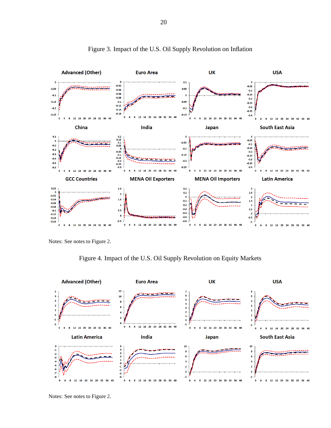<span id="page-20-0"></span>



Notes: See notes to Figure [2.](#page-18-0)





Notes: See notes to Figure [2.](#page-18-0)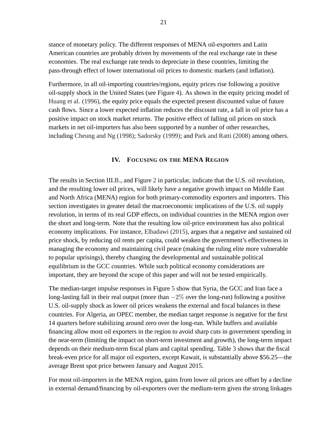stance of monetary policy. The different responses of MENA oil-exporters and Latin American countries are probably driven by movements of the real exchange rate in these economies. The real exchange rate tends to depreciate in these countries, limiting the pass-through effect of lower international oil prices to domestic markets (and inflation).

Furthermore, in all oil-importing countries/regions, equity prices rise following a positive oil-supply shock in the United States (see Figure [4\)](#page-20-0). As shown in the equity pricing model of [Huang et al. \(1996\),](#page-32-8) the equity price equals the expected present discounted value of future cash flows. Since a lower expected inflation reduces the discount rate, a fall in oil price has a positive impact on stock market returns. The positive effect of falling oil prices on stock markets in net oil-importers has also been supported by a number of other researches, including [Cheung and Ng \(1998\);](#page-31-9) [Sadorsky \(1999\);](#page-34-2) and [Park and Ratti \(2008\)](#page-33-11) among others.

# **IV. FOCUSING ON THE MENA REGION**

<span id="page-21-0"></span>The results in Section III[.B.,](#page-17-2) and Figure [2](#page-18-0) in particular, indicate that the U.S. oil revolution, and the resulting lower oil prices, will likely have a negative growth impact on Middle East and North Africa (MENA) region for both primary-commodity exporters and importers. This section investigates in greater detail the macroeconomic implications of the U.S. oil supply revolution, in terms of its real GDP effects, on individual countries in the MENA region over the short and long-term. Note that the resulting low oil-price environment has also political economy implications. For instance, [Elbadawi \(2015\),](#page-32-9) argues that a negative and sustained oil price shock, by reducing oil rents per capita, could weaken the government's effectiveness in managing the economy and maintaining civil peace (making the ruling elite more vulnerable to popular uprisings), thereby changing the developmental and sustainable political equilibrium in the GCC countries. While such political economy considerations are important, they are beyond the scope of this paper and will not be tested empirically.

The median-target impulse responses in Figure [5](#page-22-0) show that Syria, the GCC and Iran face a long-lasting fall in their real output (more than  $-2\%$  over the long-run) following a positive U.S. oil-supply shock as lower oil prices weakens the external and fiscal balances in these countries. For Algeria, an OPEC member, the median target response is negative for the first 14 quarters before stabilizing around zero over the long-run. While buffers and available financing allow most oil exporters in the region to avoid sharp cuts in government spending in the near-term (limiting the impact on short-term investment and growth), the long-term impact depends on their medium-term fiscal plans and capital spending. Table [3](#page-22-1) shows that the fiscal break-even price for all major oil exporters, except Kuwait, is substantially above \$56.25—the average Brent spot price between January and August 2015.

For most oil-importers in the MENA region, gains from lower oil prices are offset by a decline in external demand/financing by oil-exporters over the medium-term given the strong linkages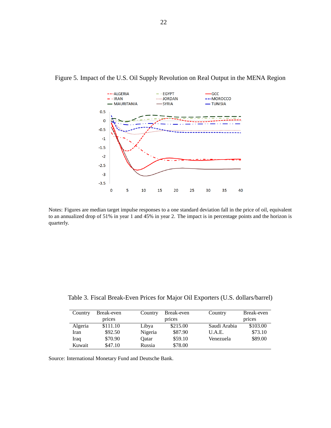

<span id="page-22-0"></span>Figure 5. Impact of the U.S. Oil Supply Revolution on Real Output in the MENA Region

Notes: Figures are median target impulse responses to a one standard deviation fall in the price of oil, equivalent to an annualized drop of 51% in year 1 and 45% in year 2. The impact is in percentage points and the horizon is quarterly.

| Country | Break-even | Country | Break-even |              | Break-even |  |
|---------|------------|---------|------------|--------------|------------|--|
|         | prices     |         | prices     |              | prices     |  |
| Algeria | \$111.10   | Libya   | \$215.00   | Saudi Arabia | \$103.00   |  |
| Iran    | \$92.50    | Nigeria | \$87.90    | U.A.E.       | \$73.10    |  |
| Iraq    | \$70.90    | Oatar   | \$59.10    | Venezuela    | \$89.00    |  |
| Kuwait  | \$47.10    | Russia  | \$78.00    |              |            |  |

<span id="page-22-1"></span>Table 3. Fiscal Break-Even Prices for Major Oil Exporters (U.S. dollars/barrel)

Source: International Monetary Fund and Deutsche Bank.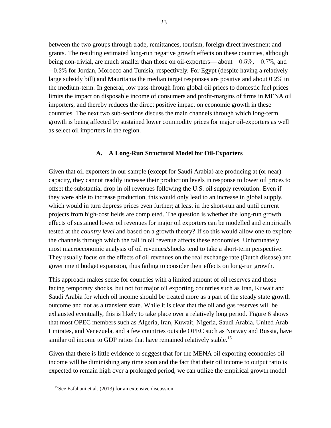between the two groups through trade, remittances, tourism, foreign direct investment and grants. The resulting estimated long-run negative growth effects on these countries, although being non-trivial, are much smaller than those on oil-exporters— about  $-0.5\%$ ,  $-0.7\%$ , and  $-0.2\%$  for Jordan, Morocco and Tunisia, respectively. For Egypt (despite having a relatively large subsidy bill) and Mauritania the median target responses are positive and about  $0.2\%$  in the medium-term. In general, low pass-through from global oil prices to domestic fuel prices limits the impact on disposable income of consumers and profit-margins of firms in MENA oil importers, and thereby reduces the direct positive impact on economic growth in these countries. The next two sub-sections discuss the main channels through which long-term growth is being affected by sustained lower commodity prices for major oil-exporters as well as select oil importers in the region.

# **A. A Long-Run Structural Model for Oil-Exporters**

Given that oil exporters in our sample (except for Saudi Arabia) are producing at (or near) capacity, they cannot readily increase their production levels in response to lower oil prices to offset the substantial drop in oil revenues following the U.S. oil supply revolution. Even if they were able to increase production, this would only lead to an increase in global supply, which would in turn depress prices even further; at least in the short-run and until current projects from high-cost fields are completed. The question is whether the long-run growth effects of sustained lower oil revenues for major oil exporters can be modelled and empirically tested at the *country level* and based on a growth theory? If so this would allow one to explore the channels through which the fall in oil revenue affects these economies. Unfortunately most macroeconomic analysis of oil revenues/shocks tend to take a short-term perspective. They usually focus on the effects of oil revenues on the real exchange rate (Dutch disease) and government budget expansion, thus failing to consider their effects on long-run growth.

This approach makes sense for countries with a limited amount of oil reserves and those facing temporary shocks, but not for major oil exporting countries such as Iran, Kuwait and Saudi Arabia for which oil income should be treated more as a part of the steady state growth outcome and not as a transient state. While it is clear that the oil and gas reserves will be exhausted eventually, this is likely to take place over a relatively long period. Figure [6](#page-24-0) shows that most OPEC members such as Algeria, Iran, Kuwait, Nigeria, Saudi Arabia, United Arab Emirates, and Venezuela, and a few countries outside OPEC such as Norway and Russia, have similar oil income to GDP ratios that have remained relatively stable.<sup>[15](#page-23-0)</sup>

Given that there is little evidence to suggest that for the MENA oil exporting economies oil income will be diminishing any time soon and the fact that their oil income to output ratio is expected to remain high over a prolonged period, we can utilize the empirical growth model

<span id="page-23-0"></span><sup>&</sup>lt;sup>15</sup>See [Esfahani et al. \(2013\)](#page-32-10) for an extensive discussion.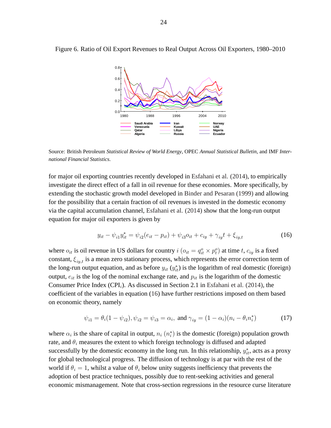

<span id="page-24-0"></span>Figure 6. Ratio of Oil Export Revenues to Real Output Across Oil Exporters, 1980–2010

Source: British Petroleum *Statistical Review of World Energy*, OPEC *Annual Statistical Bulletin*, and IMF *International Financial Statistics*.

for major oil exporting countries recently developed in [Esfahani et al. \(2014\),](#page-32-1) to empirically investigate the direct effect of a fall in oil revenue for these economies. More specifically, by extending the stochastic growth model developed in [Binder and Pesaran \(1999\)](#page-31-10) and allowing for the possibility that a certain fraction of oil revenues is invested in the domestic economy via the capital accumulation channel, [Esfahani et al. \(2014\)](#page-32-1) show that the long-run output equation for major oil exporters is given by

<span id="page-24-1"></span>
$$
y_{it} - \psi_{i1} y_{it}^* = \psi_{i2} (e_{it} - p_{it}) + \psi_{i3} o_{it} + c_{iy} + \gamma_{iy} t + \xi_{iy,t}
$$
(16)

where  $o_{it}$  is oil revenue in US dollars for country  $i$   $(o_{it} = q_{it}^o \times p_t^o)$  at time  $t$ ,  $c_{iy}$  is a fixed constant,  $\xi_{iy,t}$  is a mean zero stationary process, which represents the error correction term of the long-run output equation, and as before  $y_{it}$  ( $y_{it}^*$ ) is the logarithm of real domestic (foreign) output,  $e_{it}$  is the log of the nominal exchange rate, and  $p_{it}$  is the logarithm of the domestic Consumer Price Index (CPI<sub>i</sub>). As discussed in Section 2.1 in [Esfahani et al. \(2014\),](#page-32-1) the coefficient of the variables in equation [\(16\)](#page-24-1) have further restrictions imposed on them based on economic theory, namely

<span id="page-24-2"></span>
$$
\psi_{i1} = \theta_i (1 - \psi_{i2}), \psi_{i2} = \psi_{i3} = \alpha_i, \text{ and } \gamma_{iy} = (1 - \alpha_i)(n_i - \theta_i n_i^*)
$$
\n(17)

where  $\alpha_i$  is the share of capital in output,  $n_i$  ( $n_i^*$ ) is the domestic (foreign) population growth rate, and  $\theta_i$  measures the extent to which foreign technology is diffused and adapted successfully by the domestic economy in the long run. In this relationship,  $y_{it}^*$ , acts as a proxy for global technological progress. The diffusion of technology is at par with the rest of the world if  $\theta_i = 1$ , whilst a value of  $\theta_i$  below unity suggests inefficiency that prevents the adoption of best practice techniques, possibly due to rent-seeking activities and general economic mismanagement. Note that cross-section regressions in the resource curse literature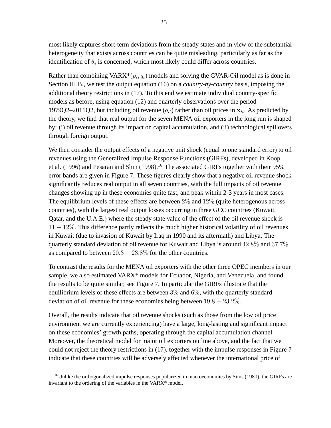most likely captures short-term deviations from the steady states and in view of the substantial heterogeneity that exists across countries can be quite misleading, particularly as far as the identification of  $\theta_i$  is concerned, which most likely could differ across countries.

Rather than combining  $VARX^*(p_i, q_i)$  models and solving the GVAR-Oil model as is done in Section III[.B.,](#page-17-2) we test the output equation [\(16\)](#page-24-1) on a *country-by-country* basis, imposing the additional theory restrictions in [\(17\)](#page-24-2). To this end we estimate individual country-specific models as before, using equation [\(12\)](#page-12-0) and quarterly observations over the period 1979Q2–2011Q2, but including oil revenue  $(o_{it})$  rather than oil prices in  $x_{it}$ . As predicted by the theory, we find that real output for the seven MENA oil exporters in the long run is shaped by: (i) oil revenue through its impact on capital accumulation, and (ii) technological spillovers through foreign output.

We then consider the output effects of a negative unit shock (equal to one standard error) to oil revenues using the Generalized Impulse Response Functions (GIRFs), developed in [Koop](#page-33-12) [et al. \(1996\)](#page-33-12) and [Pesaran and Shin \(1998\).](#page-33-13)<sup>[16](#page-25-0)</sup> The associated GIRFs together with their 95% error bands are given in Figure [7.](#page-26-0) These figures clearly show that a negative oil revenue shock significantly reduces real output in all seven countries, with the full impacts of oil revenue changes showing up in these economies quite fast, and peak within 2-3 years in most cases. The equilibrium levels of these effects are between  $2\%$  and  $12\%$  (quite heterogenous across countries), with the largest real output losses occurring in three GCC countries (Kuwait, Qatar, and the U.A.E.) where the steady state value of the effect of the oil revenue shock is  $11 - 12\%$ . This difference partly reflects the much higher historical volatility of oil revenues in Kuwait (due to invasion of Kuwait by Iraq in 1990 and its aftermath) and Libya. The quarterly standard deviation of oil revenue for Kuwait and Libya is around  $42.8\%$  and  $37.7\%$ as compared to between  $20.3 - 23.8\%$  for the other countries.

To contrast the results for the MENA oil exporters with the other three OPEC members in our sample, we also estimated VARX\* models for Ecuador, Nigeria, and Venezuela, and found the results to be quite similar, see Figure [7.](#page-26-0) In particular the GIRFs illustrate that the equilibrium levels of these effects are between  $3\%$  and  $6\%$ , with the quarterly standard deviation of oil revenue for these economies being between  $19.8 - 23.2\%$ .

Overall, the results indicate that oil revenue shocks (such as those from the low oil price environment we are currently experiencing) have a large, long-lasting and significant impact on these economies' growth paths, operating through the capital accumulation channel. Moreover, the theoretical model for major oil exporters outline above, and the fact that we could not reject the theory restrictions in [\(17\)](#page-24-2), together with the impulse responses in Figure [7](#page-26-0) indicate that these countries will be adversely affected whenever the international price of

<span id="page-25-0"></span><sup>&</sup>lt;sup>16</sup>Unlike the orthogonalized impulse responses popularized in macroeconomics by [Sims \(1980\),](#page-34-3) the GIRFs are invariant to the ordering of the variables in the VARX\* model.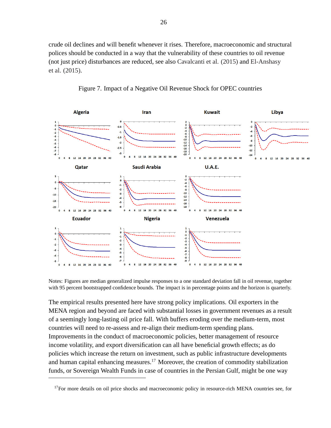crude oil declines and will benefit whenever it rises. Therefore, macroeconomic and structural polices should be conducted in a way that the vulnerability of these countries to oil revenue (not just price) disturbances are reduced, see also [Cavalcanti et al. \(2015\)](#page-31-11) and [El-Anshasy](#page-32-11) [et al. \(2015\).](#page-32-11)

<span id="page-26-0"></span>

Figure 7. Impact of a Negative Oil Revenue Shock for OPEC countries

Notes: Figures are median generalized impulse responses to a one standard deviation fall in oil revenue, together with 95 percent bootstrapped confidence bounds. The impact is in percentage points and the horizon is quarterly.

The empirical results presented here have strong policy implications. Oil exporters in the MENA region and beyond are faced with substantial losses in government revenues as a result of a seemingly long-lasting oil price fall. With buffers eroding over the medium-term, most countries will need to re-assess and re-align their medium-term spending plans. Improvements in the conduct of macroeconomic policies, better management of resource income volatility, and export diversification can all have beneficial growth effects; as do policies which increase the return on investment, such as public infrastructure developments and human capital enhancing measures.<sup>[17](#page-26-1)</sup> Moreover, the creation of commodity stabilization funds, or Sovereign Wealth Funds in case of countries in the Persian Gulf, might be one way

<span id="page-26-1"></span> $17$  For more details on oil price shocks and macroeconomic policy in resource-rich MENA countries see, for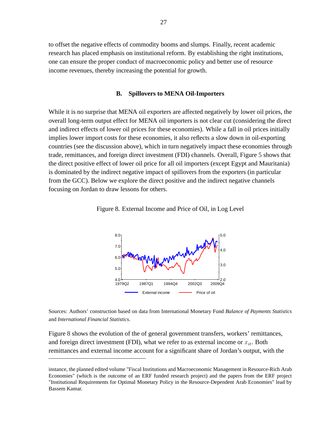to offset the negative effects of commodity booms and slumps. Finally, recent academic research has placed emphasis on institutional reform. By establishing the right institutions, one can ensure the proper conduct of macroeconomic policy and better use of resource income revenues, thereby increasing the potential for growth.

#### **B. Spillovers to MENA Oil-Importers**

While it is no surprise that MENA oil exporters are affected negatively by lower oil prices, the overall long-term output effect for MENA oil importers is not clear cut (considering the direct and indirect effects of lower oil prices for these economies). While a fall in oil prices initially implies lower import costs for these economies, it also reflects a slow down in oil-exporting countries (see the discussion above), which in turn negatively impact these economies through trade, remittances, and foreign direct investment (FDI) channels. Overall, Figure [5](#page-22-0) shows that the direct positive effect of lower oil price for all oil importers (except Egypt and Mauritania) is dominated by the indirect negative impact of spillovers from the exporters (in particular from the GCC). Below we explore the direct positive and the indirect negative channels focusing on Jordan to draw lessons for others.

<span id="page-27-0"></span>



Sources: Authors' construction based on data from International Monetary Fund *Balance of Payments Statistics* and *International Financial Statistics*.

Figure [8](#page-27-0) shows the evolution of the of general government transfers, workers' remittances, and foreign direct investment (FDI), what we refer to as external income or  $x_{it}$ . Both remittances and external income account for a significant share of Jordan's output, with the

instance, the planned edited volume "Fiscal Institutions and Macroeconomic Management in Resource-Rich Arab Economies" (which is the outcome of an ERF funded research project) and the papers from the ERF project "Institutional Requirements for Optimal Monetary Policy in the Resource-Dependent Arab Economies" lead by Bassem Kamar.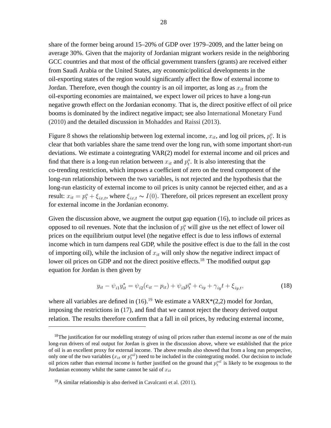share of the former being around 15–20% of GDP over 1979–2009, and the latter being on average 30%. Given that the majority of Jordanian migrant workers reside in the neighboring GCC countries and that most of the official government transfers (grants) are received either from Saudi Arabia or the United States, any economic/political developments in the oil-exporting states of the region would significantly affect the flow of external income to Jordan. Therefore, even though the country is an oil importer, as long as  $x_{it}$  from the oil-exporting economies are maintained, we expect lower oil prices to have a long-run negative growth effect on the Jordanian economy. That is, the direct positive effect of oil price booms is dominated by the indirect negative impact; see also [International Monetary Fund](#page-32-12) [\(2010\)](#page-32-12) and the detailed discussion in [Mohaddes and Raissi \(2013\).](#page-33-10)

Figure [8](#page-27-0) shows the relationship between log external income,  $x_{it}$ , and log oil prices,  $p_t^o$ . It is clear that both variables share the same trend over the long run, with some important short-run deviations. We estimate a cointegrating VAR(2) model for external income and oil prices and find that there is a long-run relation between  $x_{it}$  and  $p_t^o$ . It is also interesting that the co-trending restriction, which imposes a coefficient of zero on the trend component of the long-run relationship between the two variables, is not rejected and the hypothesis that the long-run elasticity of external income to oil prices is unity cannot be rejected either, and as a result:  $x_{it} = p_t^o + \xi_{ix,t}$ , where  $\xi_{ix,t} \sim I(0)$ . Therefore, oil prices represent an excellent proxy for external income in the Jordanian economy.

Given the discussion above, we augment the output gap equation [\(16\)](#page-24-1), to include oil prices as opposed to oil revenues. Note that the inclusion of  $p_t^o$  will give us the net effect of lower oil prices on the equilibrium output level (the negative effect is due to less inflows of external income which in turn dampens real GDP, while the positive effect is due to the fall in the cost of importing oil), while the inclusion of  $x_{it}$  will only show the negative indirect impact of lower oil prices on GDP and not the direct positive effects.<sup>[18](#page-28-0)</sup> The modified output gap equation for Jordan is then given by

<span id="page-28-2"></span>
$$
y_{it} - \psi_{i1} y_{it}^* = \psi_{i2} (e_{it} - p_{it}) + \psi_{i3} p_t^o + c_{iy} + \gamma_{iy} t + \xi_{iy,t},
$$
\n(18)

where all variables are defined in  $(16)$ .<sup>[19](#page-28-1)</sup> We estimate a VARX<sup>\*</sup> $(2,2)$  model for Jordan, imposing the restrictions in [\(17\)](#page-24-2), and find that we cannot reject the theory derived output relation. The results therefore confirm that a fall in oil prices, by reducing external income,

<span id="page-28-0"></span><sup>&</sup>lt;sup>18</sup>The justification for our modelling strategy of using oil prices rather than external income as one of the main long-run drivers of real output for Jordan is given in the discussion above, where we established that the price of oil is an excellent proxy for external income. The above results also showed that from a long run perspective, only one of the two variables  $(x_{it}$  or  $p_t^{oil}$ ) need to be included in the cointegrating model. Our decision to include oil prices rather than external income is further justified on the ground that  $p_t^{oil}$  is likely to be exogenous to the Jordanian economy whilst the same cannot be said of  $x_{it}$ 

<span id="page-28-1"></span> $19A$  similar relationship is also derived in [Cavalcanti et al. \(2011\).](#page-31-12)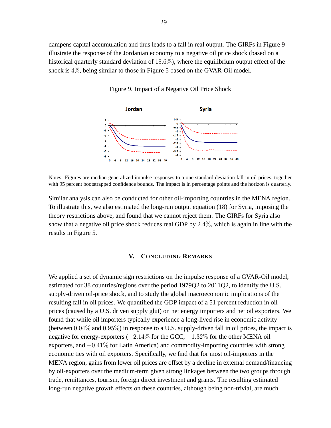<span id="page-29-1"></span>dampens capital accumulation and thus leads to a fall in real output. The GIRFs in Figure [9](#page-29-1) illustrate the response of the Jordanian economy to a negative oil price shock (based on a historical quarterly standard deviation of 18.6%), where the equilibrium output effect of the shock is 4%, being similar to those in Figure [5](#page-22-0) based on the GVAR-Oil model.

Figure 9. Impact of a Negative Oil Price Shock



Notes: Figures are median generalized impulse responses to a one standard deviation fall in oil prices, together with 95 percent bootstrapped confidence bounds. The impact is in percentage points and the horizon is quarterly.

Similar analysis can also be conducted for other oil-importing countries in the MENA region. To illustrate this, we also estimated the long-run output equation [\(18\)](#page-28-2) for Syria, imposing the theory restrictions above, and found that we cannot reject them. The GIRFs for Syria also show that a negative oil price shock reduces real GDP by  $2.4\%$ , which is again in line with the results in Figure [5.](#page-22-0)

#### **V. CONCLUDING REMARKS**

<span id="page-29-0"></span>We applied a set of dynamic sign restrictions on the impulse response of a GVAR-Oil model, estimated for 38 countries/regions over the period 1979Q2 to 2011Q2, to identify the U.S. supply-driven oil-price shock, and to study the global macroeconomic implications of the resulting fall in oil prices. We quantified the GDP impact of a 51 percent reduction in oil prices (caused by a U.S. driven supply glut) on net energy importers and net oil exporters. We found that while oil importers typically experience a long-lived rise in economic activity (between  $0.04\%$  and  $0.95\%$ ) in response to a U.S. supply-driven fall in oil prices, the impact is negative for energy-exporters  $(-2.14\%$  for the GCC,  $-1.32\%$  for the other MENA oil exporters, and  $-0.41\%$  for Latin America) and commodity-importing countries with strong economic ties with oil exporters. Specifically, we find that for most oil-importers in the MENA region, gains from lower oil prices are offset by a decline in external demand/financing by oil-exporters over the medium-term given strong linkages between the two groups through trade, remittances, tourism, foreign direct investment and grants. The resulting estimated long-run negative growth effects on these countries, although being non-trivial, are much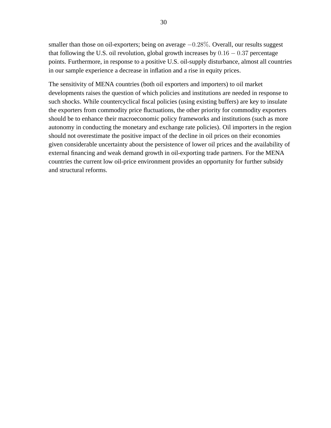smaller than those on oil-exporters; being on average  $-0.28\%$ . Overall, our results suggest that following the U.S. oil revolution, global growth increases by  $0.16 - 0.37$  percentage points. Furthermore, in response to a positive U.S. oil-supply disturbance, almost all countries in our sample experience a decrease in inflation and a rise in equity prices.

The sensitivity of MENA countries (both oil exporters and importers) to oil market developments raises the question of which policies and institutions are needed in response to such shocks. While countercyclical fiscal policies (using existing buffers) are key to insulate the exporters from commodity price fluctuations, the other priority for commodity exporters should be to enhance their macroeconomic policy frameworks and institutions (such as more autonomy in conducting the monetary and exchange rate policies). Oil importers in the region should not overestimate the positive impact of the decline in oil prices on their economies given considerable uncertainty about the persistence of lower oil prices and the availability of external financing and weak demand growth in oil-exporting trade partners. For the MENA countries the current low oil-price environment provides an opportunity for further subsidy and structural reforms.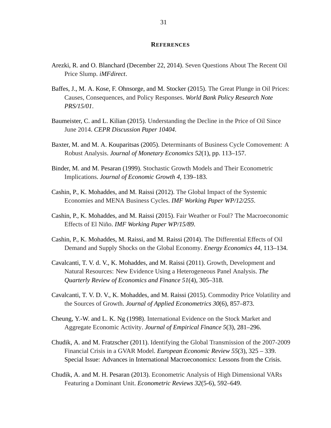#### **REFERENCES**

- <span id="page-31-0"></span>Arezki, R. and O. Blanchard (December 22, 2014). [Seven Questions About The Recent Oil](http://blog-imfdirect.imf.org/2014/12/22/seven-questions-about-the-recent-oil-price-slump/) [Price Slump.](http://blog-imfdirect.imf.org/2014/12/22/seven-questions-about-the-recent-oil-price-slump/) *iMFdirect*.
- <span id="page-31-2"></span>Baffes, J., M. A. Kose, F. Ohnsorge, and M. Stocker (2015). [The Great Plunge in Oil Prices:](http://www.worldbank.org/content/dam/Worldbank/Research/PRN01_Mar2015_Oil_Prices.pdf) [Causes, Consequences, and Policy Responses.](http://www.worldbank.org/content/dam/Worldbank/Research/PRN01_Mar2015_Oil_Prices.pdf) *World Bank Policy Research Note PRS/15/01*.
- <span id="page-31-1"></span>Baumeister, C. and L. Kilian (2015). [Understanding the Decline in the Price of Oil Since](http://www.cepr.org/active/publications/discussion_papers/dp.php?dpno=10404) [June 2014.](http://www.cepr.org/active/publications/discussion_papers/dp.php?dpno=10404) *CEPR Discussion Paper 10404*.
- <span id="page-31-4"></span>Baxter, M. and M. A. Kouparitsas (2005). [Determinants of Business Cycle Comovement: A](file:dx.doi.org/10.1016/j.jmoneco.2004.08.002) [Robust Analysis.](file:dx.doi.org/10.1016/j.jmoneco.2004.08.002) *Journal of Monetary Economics 52*(1), pp. 113–157.
- <span id="page-31-10"></span>Binder, M. and M. Pesaran (1999). [Stochastic Growth Models and Their Econometric](http://dx.doi.org/10.1023/A:1009802421114) [Implications.](http://dx.doi.org/10.1023/A:1009802421114) *Journal of Economic Growth 4*, 139–183.
- <span id="page-31-5"></span>Cashin, P., K. Mohaddes, and M. Raissi (2012). [The Global Impact of the Systemic](http://www.imf.org/external/pubs/ft/wp/2012/wp12255.pdf) [Economies and MENA Business Cycles.](http://www.imf.org/external/pubs/ft/wp/2012/wp12255.pdf) *IMF Working Paper WP/12/255*.
- <span id="page-31-6"></span>Cashin, P., K. Mohaddes, and M. Raissi (2015). [Fair Weather or Foul? The Macroeconomic](http://www.imf.org/external/pubs/ft/wp/2015/wp1589.pdf) [Effects of El Niño.](http://www.imf.org/external/pubs/ft/wp/2015/wp1589.pdf) *IMF Working Paper WP/15/89*.
- <span id="page-31-3"></span>Cashin, P., K. Mohaddes, M. Raissi, and M. Raissi (2014). [The Differential Effects of Oil](http://dx.doi.org/10.1016/j.eneco.2014.03.014) [Demand and Supply Shocks on the Global Economy.](http://dx.doi.org/10.1016/j.eneco.2014.03.014) *Energy Economics 44*, 113–134.
- <span id="page-31-12"></span>Cavalcanti, T. V. d. V., K. Mohaddes, and M. Raissi (2011). [Growth, Development and](http://dx.doi.org/10.1016/j.qref.2011.07.007) [Natural Resources: New Evidence Using a Heterogeneous Panel Analysis.](http://dx.doi.org/10.1016/j.qref.2011.07.007) *The Quarterly Review of Economics and Finance 51*(4), 305–318.
- <span id="page-31-11"></span>Cavalcanti, T. V. D. V., K. Mohaddes, and M. Raissi (2015). [Commodity Price Volatility and](http://dx.doi.org/10.1002/jae.2407) [the Sources of Growth.](http://dx.doi.org/10.1002/jae.2407) *Journal of Applied Econometrics 30*(6), 857–873.
- <span id="page-31-9"></span>Cheung, Y.-W. and L. K. Ng (1998). [International Evidence on the Stock Market and](http://dx.doi.org/10.1016/S0927-5398(97)00025-X) [Aggregate Economic Activity.](http://dx.doi.org/10.1016/S0927-5398(97)00025-X) *Journal of Empirical Finance 5*(3), 281–296.
- <span id="page-31-8"></span>Chudik, A. and M. Fratzscher (2011). [Identifying the Global Transmission of the 2007-2009](http://dx.doi.org/10.1016/j.euroecorev.2010.12.003) [Financial Crisis in a GVAR Model.](http://dx.doi.org/10.1016/j.euroecorev.2010.12.003) *European Economic Review 55*(3), 325 – 339. Special Issue: Advances in International Macroeconomics: Lessons from the Crisis.
- <span id="page-31-7"></span>Chudik, A. and M. H. Pesaran (2013). [Econometric Analysis of High Dimensional VARs](file:dx.doi.org/10.1080/07474938.2012.740374) [Featuring a Dominant Unit.](file:dx.doi.org/10.1080/07474938.2012.740374) *Econometric Reviews 32*(5-6), 592–649.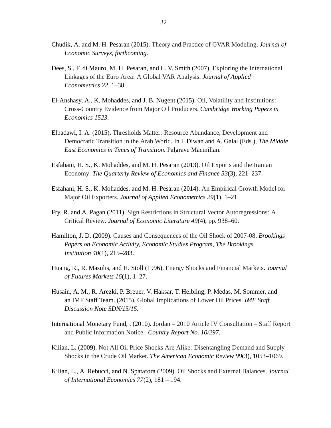- <span id="page-32-6"></span>Chudik, A. and M. H. Pesaran (2015). [Theory and Practice of GVAR Modeling.](http://www.econ.cam.ac.uk/people/emeritus/mhp1/fp14/CP-GVAR-Surveys-Sept2014.pdf) *Journal of Economic Surveys, forthcoming*.
- <span id="page-32-0"></span>Dees, S., F. di Mauro, M. H. Pesaran, and L. V. Smith (2007). [Exploring the International](http://dx.doi.org/10.1002/jae.932) [Linkages of the Euro Area: A Global VAR Analysis.](http://dx.doi.org/10.1002/jae.932) *Journal of Applied Econometrics 22*, 1–38.
- <span id="page-32-11"></span>El-Anshasy, A., K. Mohaddes, and J. B. Nugent (2015). [Oil, Volatility and Institutions:](http://www.econ.cam.ac.uk/research/repec/cam/pdf/cwpe1523.pdf) [Cross-Country Evidence from Major Oil Producers.](http://www.econ.cam.ac.uk/research/repec/cam/pdf/cwpe1523.pdf) *Cambridge Working Papers in Economics 1523*.
- <span id="page-32-9"></span>Elbadawi, I. A. (2015). [Thresholds Matter: Resource Abundance, Development and](#page--1-0) [Democratic Transition in the Arab World.](#page--1-0) In I. Diwan and A. Galal (Eds.), *The Middle East Economies in Times of Transition*. Palgrave Macmillan.
- <span id="page-32-10"></span>Esfahani, H. S., K. Mohaddes, and M. H. Pesaran (2013). [Oil Exports and the Iranian](http://dx.doi.org/10.1016/j.qref.2012.07.001) [Economy.](http://dx.doi.org/10.1016/j.qref.2012.07.001) *The Quarterly Review of Economics and Finance 53*(3), 221–237.
- <span id="page-32-1"></span>Esfahani, H. S., K. Mohaddes, and M. H. Pesaran (2014). [An Empirical Growth Model for](http://dx.doi.org/10.1002/jae.2294) [Major Oil Exporters.](http://dx.doi.org/10.1002/jae.2294) *Journal of Applied Econometrics 29*(1), 1–21.
- <span id="page-32-7"></span>Fry, R. and A. Pagan (2011). [Sign Restrictions in Structural Vector Autoregressions: A](http://www.aeaweb.org/articles.php?doi=10.1257/jel.49.4.938) [Critical Review.](http://www.aeaweb.org/articles.php?doi=10.1257/jel.49.4.938) *Journal of Economic Literature 49*(4), pp. 938–60.
- <span id="page-32-3"></span>Hamilton, J. D. (2009). [Causes and Consequences of the Oil Shock of 2007-08.](http://www.brookings.edu/about/projects/bpea/editions/~/media/Projects/BPEA/Spring%202009/2009a_bpea_hamilton.PDF) *Brookings Papers on Economic Activity, Economic Studies Program, The Brookings Institution 40*(1), 215–283.
- <span id="page-32-8"></span>Huang, R., R. Masulis, and H. Stoll (1996). [Energy Shocks and Financial Markets.](http://papers.ssrn.com/sol3/papers.cfm?abstract_id=900741) *Journal of Futures Markets 16*(1), 1–27.
- <span id="page-32-2"></span>Husain, A. M., R. Arezki, P. Breuer, V. Haksar, T. Helbling, P. Medas, M. Sommer, and an IMF Staff Team. (2015). [Global Implications of Lower Oil Prices.](http://www.imf.org/external/pubs/ft/sdn/2015/sdn1515.pdf) *IMF Staff Discussion Note SDN/15/15*.
- <span id="page-32-12"></span>International Monetary Fund, . (2010). [Jordan – 2010 Article IV Consultation – Staff Report](http://www.imf.org/external/pubs/ft/scr/2010/cr10297.pdf) [and Public Information Notice.](http://www.imf.org/external/pubs/ft/scr/2010/cr10297.pdf) *Country Report No. 10/297*.
- <span id="page-32-4"></span>Kilian, L. (2009). [Not All Oil Price Shocks Are Alike: Disentangling Demand and Supply](http://www.jstor.org/stable/25592494) [Shocks in the Crude Oil Market.](http://www.jstor.org/stable/25592494) *The American Economic Review 99*(3), 1053–1069.
- <span id="page-32-5"></span>Kilian, L., A. Rebucci, and N. Spatafora (2009). [Oil Shocks and External Balances.](http://dx.doi.org/10.1016/j.jinteco.2009.01.001) *Journal of International Economics 77*(2), 181 – 194.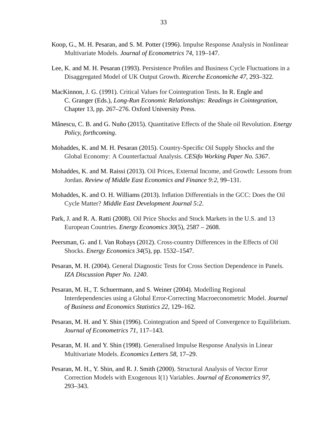- <span id="page-33-12"></span>Koop, G., M. H. Pesaran, and S. M. Potter (1996). [Impulse Response Analysis in Nonlinear](http://www.sciencedirect.com/science/article/B6VC0-3XDS2R2-6/2/f8b1713c81765453e1a5e9a52593b52e) [Multivariate Models.](http://www.sciencedirect.com/science/article/B6VC0-3XDS2R2-6/2/f8b1713c81765453e1a5e9a52593b52e) *Journal of Econometrics 74*, 119–147.
- <span id="page-33-8"></span>Lee, K. and M. H. Pesaran (1993). [Persistence Profiles and Business Cycle Fluctuations in a](http://www.sciencedirect.com/science/article/B6WWV-4DBJ9VW-W/2/776ee14ea3deefdbbf5678cddb827ff9) [Disaggregated Model of UK Output Growth.](http://www.sciencedirect.com/science/article/B6WWV-4DBJ9VW-W/2/776ee14ea3deefdbbf5678cddb827ff9) *Ricerche Economiche 47*, 293–322.
- <span id="page-33-7"></span>MacKinnon, J. G. (1991). [Critical Values for Cointegration Tests.](#page--1-0) In R. Engle and C. Granger (Eds.), *Long-Run Economic Relationships: Readings in Cointegration*, Chapter 13, pp. 267–276. Oxford University Press.
- <span id="page-33-1"></span>Mânescu, C. B. and G. Nuño (2015). [Quantitative Effects of the Shale oil Revolution.](http://dx.doi.org/10.1016/j.enpol.2015.05.015) *Energy Policy, forthcoming*.
- <span id="page-33-3"></span>Mohaddes, K. and M. H. Pesaran (2015). [Country-Specific Oil Supply Shocks and the](http://www.cesifo-group.de/DocDL/cesifo1_wp5367.pdf) [Global Economy: A Counterfactual Analysis.](http://www.cesifo-group.de/DocDL/cesifo1_wp5367.pdf) *CESifo Working Paper No. 5367*.
- <span id="page-33-10"></span>Mohaddes, K. and M. Raissi (2013). [Oil Prices, External Income, and Growth: Lessons from](http://dx.doi.org/10.1515/rmeef-2012-0011) [Jordan.](http://dx.doi.org/10.1515/rmeef-2012-0011) *Review of Middle East Economics and Finance 9:2*, 99–131.
- <span id="page-33-5"></span>Mohaddes, K. and O. H. Williams (2013). [Inflation Differentials in the GCC: Does the Oil](http://www.imf.org/external/pubs/ft/wp/2011/wp11294.pdf) [Cycle Matter?](http://www.imf.org/external/pubs/ft/wp/2011/wp11294.pdf) *Middle East Development Journal 5:2*.
- <span id="page-33-11"></span>Park, J. and R. A. Ratti (2008). [Oil Price Shocks and Stock Markets in the U.S. and 13](http://www.sciencedirect.com/science/article/pii/S0140988308000571) [European Countries.](http://www.sciencedirect.com/science/article/pii/S0140988308000571) *Energy Economics 30*(5), 2587 – 2608.
- <span id="page-33-2"></span>Peersman, G. and I. Van Robays (2012). [Cross-country Differences in the Effects of Oil](http://dx.doi.org/10.1016/j.eneco.2011.11.010) [Shocks.](http://dx.doi.org/10.1016/j.eneco.2011.11.010) *Energy Economics 34*(5), pp. 1532–1547.
- <span id="page-33-4"></span>Pesaran, M. H. (2004). [General Diagnostic Tests for Cross Section Dependence in Panels.](http://ftp.iza.org/dp1240.pdf) *IZA Discussion Paper No. 1240*.
- <span id="page-33-0"></span>Pesaran, M. H., T. Schuermann, and S. Weiner (2004). [Modelling Regional](http://pubs.amstat.org/doi/pdf/10.1198/073500104000000019) [Interdependencies using a Global Error-Correcting Macroeconometric Model.](http://pubs.amstat.org/doi/pdf/10.1198/073500104000000019) *Journal of Business and Economics Statistics 22*, 129–162.
- <span id="page-33-9"></span>Pesaran, M. H. and Y. Shin (1996). [Cointegration and Speed of Convergence to Equilibrium.](http://www.ingentaconnect.com/content/els/03044076/1996/00000071/00000001/art01697) *Journal of Econometrics 71*, 117–143.
- <span id="page-33-13"></span>Pesaran, M. H. and Y. Shin (1998). [Generalised Impulse Response Analysis in Linear](http://dx.doi.org/10.1016/S0165-1765(97)00214-0) [Multivariate Models.](http://dx.doi.org/10.1016/S0165-1765(97)00214-0) *Economics Letters 58*, 17–29.
- <span id="page-33-6"></span>Pesaran, M. H., Y. Shin, and R. J. Smith (2000). [Structural Analysis of Vector Error](http://www.sciencedirect.com/science/article/B6VC0-40V4CV6-4/2/2750c5abc4246b7daba6a44527af4961) [Correction Models with Exogenous I\(1\) Variables.](http://www.sciencedirect.com/science/article/B6VC0-40V4CV6-4/2/2750c5abc4246b7daba6a44527af4961) *Journal of Econometrics 97*, 293–343.